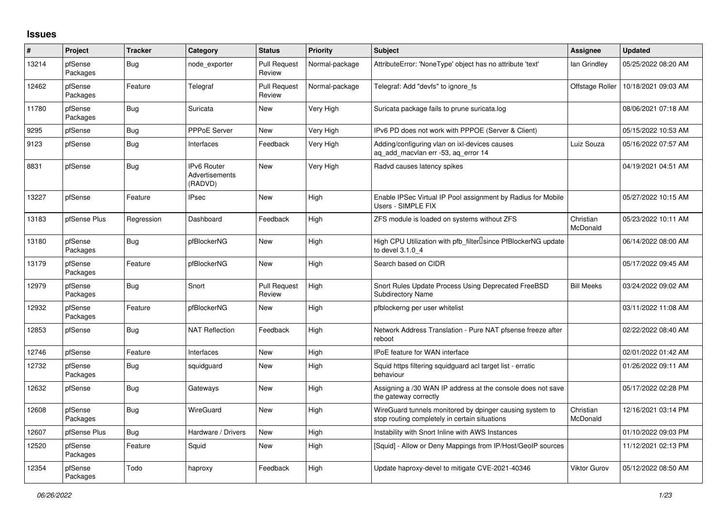## **Issues**

| #     | <b>Project</b>      | <b>Tracker</b> | Category                                        | <b>Status</b>                 | Priority       | <b>Subject</b>                                                                                            | Assignee              | <b>Updated</b>      |
|-------|---------------------|----------------|-------------------------------------------------|-------------------------------|----------------|-----------------------------------------------------------------------------------------------------------|-----------------------|---------------------|
| 13214 | pfSense<br>Packages | Bug            | node exporter                                   | <b>Pull Request</b><br>Review | Normal-package | AttributeError: 'NoneType' object has no attribute 'text'                                                 | lan Grindley          | 05/25/2022 08:20 AM |
| 12462 | pfSense<br>Packages | Feature        | Telegraf                                        | <b>Pull Request</b><br>Review | Normal-package | Telegraf: Add "devfs" to ignore fs                                                                        | Offstage Roller       | 10/18/2021 09:03 AM |
| 11780 | pfSense<br>Packages | <b>Bug</b>     | Suricata                                        | <b>New</b>                    | Very High      | Suricata package fails to prune suricata.log                                                              |                       | 08/06/2021 07:18 AM |
| 9295  | pfSense             | <b>Bug</b>     | <b>PPPoE Server</b>                             | <b>New</b>                    | Very High      | IPv6 PD does not work with PPPOE (Server & Client)                                                        |                       | 05/15/2022 10:53 AM |
| 9123  | pfSense             | <b>Bug</b>     | Interfaces                                      | Feedback                      | Very High      | Adding/configuring vlan on ixl-devices causes<br>aq_add_macvlan err -53, aq_error 14                      | Luiz Souza            | 05/16/2022 07:57 AM |
| 8831  | pfSense             | <b>Bug</b>     | <b>IPv6 Router</b><br>Advertisements<br>(RADVD) | New                           | Very High      | Radvd causes latency spikes                                                                               |                       | 04/19/2021 04:51 AM |
| 13227 | pfSense             | Feature        | <b>IPsec</b>                                    | New                           | High           | Enable IPSec Virtual IP Pool assignment by Radius for Mobile<br>Users - SIMPLE FIX                        |                       | 05/27/2022 10:15 AM |
| 13183 | pfSense Plus        | Regression     | Dashboard                                       | Feedback                      | High           | ZFS module is loaded on systems without ZFS                                                               | Christian<br>McDonald | 05/23/2022 10:11 AM |
| 13180 | pfSense<br>Packages | <b>Bug</b>     | pfBlockerNG                                     | <b>New</b>                    | High           | High CPU Utilization with pfb filter Usince PfBlockerNG update<br>to devel 3.1.0 4                        |                       | 06/14/2022 08:00 AM |
| 13179 | pfSense<br>Packages | Feature        | pfBlockerNG                                     | <b>New</b>                    | High           | Search based on CIDR                                                                                      |                       | 05/17/2022 09:45 AM |
| 12979 | pfSense<br>Packages | <b>Bug</b>     | Snort                                           | <b>Pull Request</b><br>Review | High           | Snort Rules Update Process Using Deprecated FreeBSD<br><b>Subdirectory Name</b>                           | <b>Bill Meeks</b>     | 03/24/2022 09:02 AM |
| 12932 | pfSense<br>Packages | Feature        | pfBlockerNG                                     | <b>New</b>                    | High           | pfblockerng per user whitelist                                                                            |                       | 03/11/2022 11:08 AM |
| 12853 | pfSense             | <b>Bug</b>     | <b>NAT Reflection</b>                           | Feedback                      | High           | Network Address Translation - Pure NAT pfsense freeze after<br>reboot                                     |                       | 02/22/2022 08:40 AM |
| 12746 | pfSense             | Feature        | Interfaces                                      | <b>New</b>                    | High           | <b>IPoE</b> feature for WAN interface                                                                     |                       | 02/01/2022 01:42 AM |
| 12732 | pfSense<br>Packages | Bug            | squidguard                                      | New                           | High           | Squid https filtering squidguard acl target list - erratic<br>behaviour                                   |                       | 01/26/2022 09:11 AM |
| 12632 | pfSense             | <b>Bug</b>     | Gateways                                        | <b>New</b>                    | High           | Assigning a /30 WAN IP address at the console does not save<br>the gateway correctly                      |                       | 05/17/2022 02:28 PM |
| 12608 | pfSense<br>Packages | Bug            | WireGuard                                       | New                           | High           | WireGuard tunnels monitored by dpinger causing system to<br>stop routing completely in certain situations | Christian<br>McDonald | 12/16/2021 03:14 PM |
| 12607 | pfSense Plus        | <b>Bug</b>     | Hardware / Drivers                              | New                           | High           | Instability with Snort Inline with AWS Instances                                                          |                       | 01/10/2022 09:03 PM |
| 12520 | pfSense<br>Packages | Feature        | Squid                                           | New                           | High           | [Squid] - Allow or Deny Mappings from IP/Host/GeoIP sources                                               |                       | 11/12/2021 02:13 PM |
| 12354 | pfSense<br>Packages | Todo           | haproxy                                         | Feedback                      | High           | Update haproxy-devel to mitigate CVE-2021-40346                                                           | Viktor Gurov          | 05/12/2022 08:50 AM |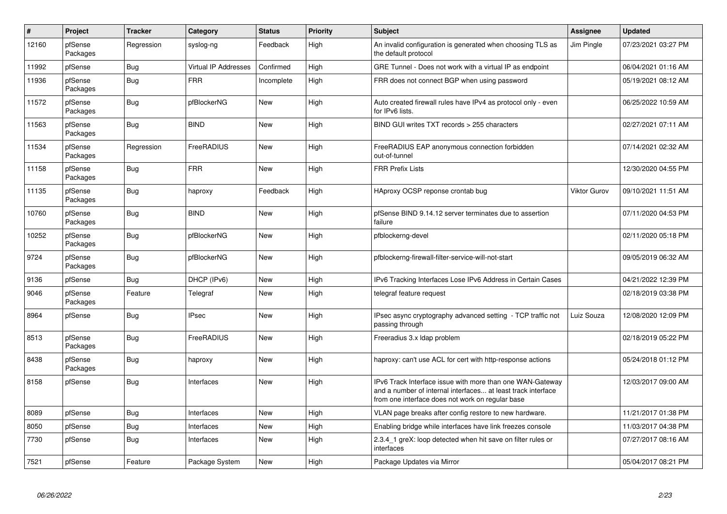| $\sharp$ | Project             | <b>Tracker</b> | Category                    | <b>Status</b> | <b>Priority</b> | <b>Subject</b>                                                                                                                                                                | Assignee     | <b>Updated</b>      |
|----------|---------------------|----------------|-----------------------------|---------------|-----------------|-------------------------------------------------------------------------------------------------------------------------------------------------------------------------------|--------------|---------------------|
| 12160    | pfSense<br>Packages | Regression     | syslog-ng                   | Feedback      | High            | An invalid configuration is generated when choosing TLS as<br>the default protocol                                                                                            | Jim Pingle   | 07/23/2021 03:27 PM |
| 11992    | pfSense             | Bug            | <b>Virtual IP Addresses</b> | Confirmed     | High            | GRE Tunnel - Does not work with a virtual IP as endpoint                                                                                                                      |              | 06/04/2021 01:16 AM |
| 11936    | pfSense<br>Packages | Bug            | <b>FRR</b>                  | Incomplete    | High            | FRR does not connect BGP when using password                                                                                                                                  |              | 05/19/2021 08:12 AM |
| 11572    | pfSense<br>Packages | <b>Bug</b>     | pfBlockerNG                 | <b>New</b>    | High            | Auto created firewall rules have IPv4 as protocol only - even<br>for IPv6 lists.                                                                                              |              | 06/25/2022 10:59 AM |
| 11563    | pfSense<br>Packages | <b>Bug</b>     | <b>BIND</b>                 | New           | High            | BIND GUI writes TXT records > 255 characters                                                                                                                                  |              | 02/27/2021 07:11 AM |
| 11534    | pfSense<br>Packages | Regression     | FreeRADIUS                  | New           | High            | FreeRADIUS EAP anonymous connection forbidden<br>out-of-tunnel                                                                                                                |              | 07/14/2021 02:32 AM |
| 11158    | pfSense<br>Packages | Bug            | <b>FRR</b>                  | New           | High            | <b>FRR Prefix Lists</b>                                                                                                                                                       |              | 12/30/2020 04:55 PM |
| 11135    | pfSense<br>Packages | Bug            | haproxy                     | Feedback      | High            | HAproxy OCSP reponse crontab bug                                                                                                                                              | Viktor Gurov | 09/10/2021 11:51 AM |
| 10760    | pfSense<br>Packages | <b>Bug</b>     | <b>BIND</b>                 | New           | High            | pfSense BIND 9.14.12 server terminates due to assertion<br>failure                                                                                                            |              | 07/11/2020 04:53 PM |
| 10252    | pfSense<br>Packages | <b>Bug</b>     | pfBlockerNG                 | <b>New</b>    | High            | pfblockerng-devel                                                                                                                                                             |              | 02/11/2020 05:18 PM |
| 9724     | pfSense<br>Packages | <b>Bug</b>     | pfBlockerNG                 | <b>New</b>    | High            | pfblockerng-firewall-filter-service-will-not-start                                                                                                                            |              | 09/05/2019 06:32 AM |
| 9136     | pfSense             | Bug            | DHCP (IPv6)                 | <b>New</b>    | High            | IPv6 Tracking Interfaces Lose IPv6 Address in Certain Cases                                                                                                                   |              | 04/21/2022 12:39 PM |
| 9046     | pfSense<br>Packages | Feature        | Telegraf                    | New           | High            | telegraf feature request                                                                                                                                                      |              | 02/18/2019 03:38 PM |
| 8964     | pfSense             | <b>Bug</b>     | <b>IPsec</b>                | <b>New</b>    | High            | IPsec async cryptography advanced setting - TCP traffic not<br>passing through                                                                                                | Luiz Souza   | 12/08/2020 12:09 PM |
| 8513     | pfSense<br>Packages | Bug            | FreeRADIUS                  | <b>New</b>    | High            | Freeradius 3.x Idap problem                                                                                                                                                   |              | 02/18/2019 05:22 PM |
| 8438     | pfSense<br>Packages | Bug            | haproxy                     | <b>New</b>    | High            | haproxy: can't use ACL for cert with http-response actions                                                                                                                    |              | 05/24/2018 01:12 PM |
| 8158     | pfSense             | Bug            | Interfaces                  | New           | High            | IPv6 Track Interface issue with more than one WAN-Gateway<br>and a number of internal interfaces at least track interface<br>from one interface does not work on regular base |              | 12/03/2017 09:00 AM |
| 8089     | pfSense             | Bug            | Interfaces                  | New           | High            | VLAN page breaks after config restore to new hardware.                                                                                                                        |              | 11/21/2017 01:38 PM |
| 8050     | pfSense             | <b>Bug</b>     | Interfaces                  | New           | High            | Enabling bridge while interfaces have link freezes console                                                                                                                    |              | 11/03/2017 04:38 PM |
| 7730     | pfSense             | Bug            | Interfaces                  | New           | High            | 2.3.4 1 greX: loop detected when hit save on filter rules or<br>interfaces                                                                                                    |              | 07/27/2017 08:16 AM |
| 7521     | pfSense             | Feature        | Package System              | New           | High            | Package Updates via Mirror                                                                                                                                                    |              | 05/04/2017 08:21 PM |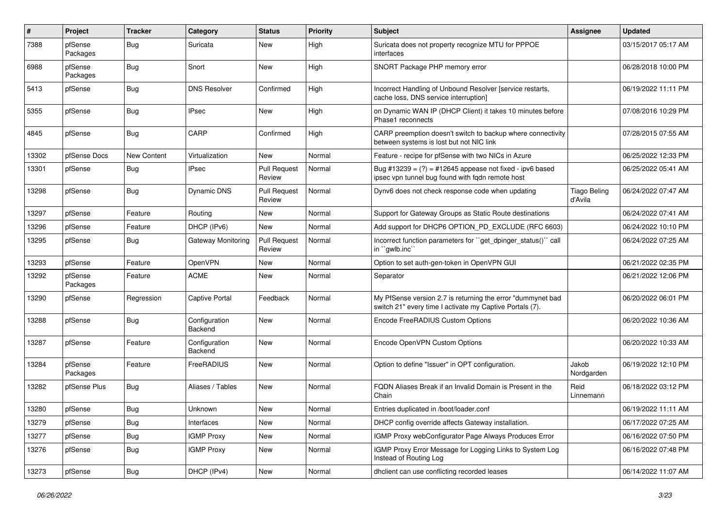| #     | Project             | <b>Tracker</b> | Category                        | <b>Status</b>                 | <b>Priority</b> | <b>Subject</b>                                                                                                          | Assignee                       | <b>Updated</b>      |
|-------|---------------------|----------------|---------------------------------|-------------------------------|-----------------|-------------------------------------------------------------------------------------------------------------------------|--------------------------------|---------------------|
| 7388  | pfSense<br>Packages | Bug            | Suricata                        | New                           | High            | Suricata does not property recognize MTU for PPPOE<br>interfaces                                                        |                                | 03/15/2017 05:17 AM |
| 6988  | pfSense<br>Packages | <b>Bug</b>     | Snort                           | New                           | High            | SNORT Package PHP memory error                                                                                          |                                | 06/28/2018 10:00 PM |
| 5413  | pfSense             | <b>Bug</b>     | <b>DNS Resolver</b>             | Confirmed                     | High            | Incorrect Handling of Unbound Resolver [service restarts,<br>cache loss, DNS service interruption]                      |                                | 06/19/2022 11:11 PM |
| 5355  | pfSense             | <b>Bug</b>     | <b>IPsec</b>                    | New                           | High            | on Dynamic WAN IP (DHCP Client) it takes 10 minutes before<br>Phase1 reconnects                                         |                                | 07/08/2016 10:29 PM |
| 4845  | pfSense             | Bug            | CARP                            | Confirmed                     | High            | CARP preemption doesn't switch to backup where connectivity<br>between systems is lost but not NIC link                 |                                | 07/28/2015 07:55 AM |
| 13302 | pfSense Docs        | New Content    | Virtualization                  | New                           | Normal          | Feature - recipe for pfSense with two NICs in Azure                                                                     |                                | 06/25/2022 12:33 PM |
| 13301 | pfSense             | <b>Bug</b>     | <b>IPsec</b>                    | <b>Pull Request</b><br>Review | Normal          | Bug #13239 = $(?)$ = #12645 appease not fixed - ipv6 based<br>ipsec vpn tunnel bug found with fqdn remote host          |                                | 06/25/2022 05:41 AM |
| 13298 | pfSense             | <b>Bug</b>     | <b>Dynamic DNS</b>              | <b>Pull Request</b><br>Review | Normal          | Dynv6 does not check response code when updating                                                                        | <b>Tiago Beling</b><br>d'Avila | 06/24/2022 07:47 AM |
| 13297 | pfSense             | Feature        | Routing                         | New                           | Normal          | Support for Gateway Groups as Static Route destinations                                                                 |                                | 06/24/2022 07:41 AM |
| 13296 | pfSense             | Feature        | DHCP (IPv6)                     | New                           | Normal          | Add support for DHCP6 OPTION_PD_EXCLUDE (RFC 6603)                                                                      |                                | 06/24/2022 10:10 PM |
| 13295 | pfSense             | <b>Bug</b>     | Gateway Monitoring              | <b>Pull Request</b><br>Review | Normal          | Incorrect function parameters for "get_dpinger_status()" call<br>in "gwlb.inc"                                          |                                | 06/24/2022 07:25 AM |
| 13293 | pfSense             | Feature        | <b>OpenVPN</b>                  | <b>New</b>                    | Normal          | Option to set auth-gen-token in OpenVPN GUI                                                                             |                                | 06/21/2022 02:35 PM |
| 13292 | pfSense<br>Packages | Feature        | <b>ACME</b>                     | New                           | Normal          | Separator                                                                                                               |                                | 06/21/2022 12:06 PM |
| 13290 | pfSense             | Regression     | <b>Captive Portal</b>           | Feedback                      | Normal          | My PfSense version 2.7 is returning the error "dummynet bad<br>switch 21" every time I activate my Captive Portals (7). |                                | 06/20/2022 06:01 PM |
| 13288 | pfSense             | Bug            | Configuration<br>Backend        | New                           | Normal          | Encode FreeRADIUS Custom Options                                                                                        |                                | 06/20/2022 10:36 AM |
| 13287 | pfSense             | Feature        | Configuration<br><b>Backend</b> | New                           | Normal          | Encode OpenVPN Custom Options                                                                                           |                                | 06/20/2022 10:33 AM |
| 13284 | pfSense<br>Packages | Feature        | FreeRADIUS                      | New                           | Normal          | Option to define "Issuer" in OPT configuration.                                                                         | Jakob<br>Nordgarden            | 06/19/2022 12:10 PM |
| 13282 | pfSense Plus        | <b>Bug</b>     | Aliases / Tables                | New                           | Normal          | FQDN Aliases Break if an Invalid Domain is Present in the<br>Chain                                                      | Reid<br>Linnemann              | 06/18/2022 03:12 PM |
| 13280 | pfSense             | Bug            | Unknown                         | New                           | Normal          | Entries duplicated in /boot/loader.conf                                                                                 |                                | 06/19/2022 11:11 AM |
| 13279 | pfSense             | <b>Bug</b>     | Interfaces                      | New                           | Normal          | DHCP config override affects Gateway installation.                                                                      |                                | 06/17/2022 07:25 AM |
| 13277 | pfSense             | <b>Bug</b>     | <b>IGMP Proxy</b>               | New                           | Normal          | IGMP Proxy webConfigurator Page Always Produces Error                                                                   |                                | 06/16/2022 07:50 PM |
| 13276 | pfSense             | <b>Bug</b>     | <b>IGMP Proxy</b>               | New                           | Normal          | IGMP Proxy Error Message for Logging Links to System Log<br>Instead of Routing Log                                      |                                | 06/16/2022 07:48 PM |
| 13273 | pfSense             | <b>Bug</b>     | DHCP (IPv4)                     | New                           | Normal          | dhclient can use conflicting recorded leases                                                                            |                                | 06/14/2022 11:07 AM |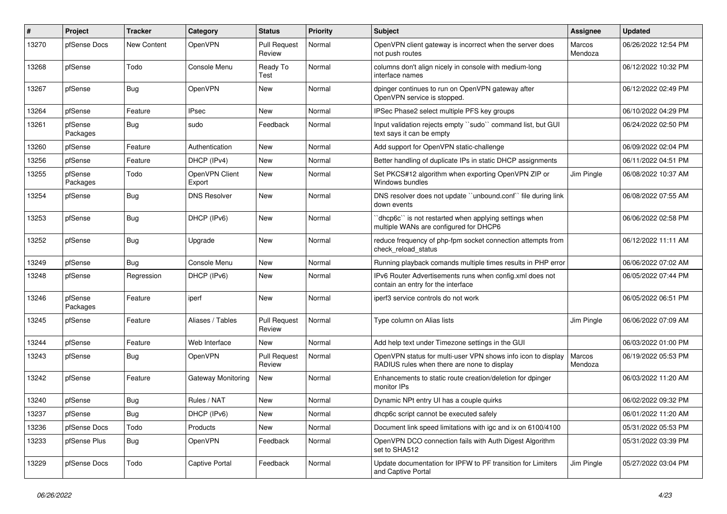| ∦     | Project             | <b>Tracker</b>     | Category                 | <b>Status</b>                 | <b>Priority</b> | <b>Subject</b>                                                                                              | Assignee          | <b>Updated</b>      |
|-------|---------------------|--------------------|--------------------------|-------------------------------|-----------------|-------------------------------------------------------------------------------------------------------------|-------------------|---------------------|
| 13270 | pfSense Docs        | <b>New Content</b> | OpenVPN                  | <b>Pull Request</b><br>Review | Normal          | OpenVPN client gateway is incorrect when the server does<br>not push routes                                 | Marcos<br>Mendoza | 06/26/2022 12:54 PM |
| 13268 | pfSense             | Todo               | Console Menu             | Ready To<br>Test              | Normal          | columns don't align nicely in console with medium-long<br>interface names                                   |                   | 06/12/2022 10:32 PM |
| 13267 | pfSense             | <b>Bug</b>         | OpenVPN                  | New                           | Normal          | dpinger continues to run on OpenVPN gateway after<br>OpenVPN service is stopped.                            |                   | 06/12/2022 02:49 PM |
| 13264 | pfSense             | Feature            | <b>IPsec</b>             | New                           | Normal          | IPSec Phase2 select multiple PFS key groups                                                                 |                   | 06/10/2022 04:29 PM |
| 13261 | pfSense<br>Packages | <b>Bug</b>         | sudo                     | Feedback                      | Normal          | Input validation rejects empty "sudo" command list, but GUI<br>text says it can be empty                    |                   | 06/24/2022 02:50 PM |
| 13260 | pfSense             | Feature            | Authentication           | New                           | Normal          | Add support for OpenVPN static-challenge                                                                    |                   | 06/09/2022 02:04 PM |
| 13256 | pfSense             | Feature            | DHCP (IPv4)              | New                           | Normal          | Better handling of duplicate IPs in static DHCP assignments                                                 |                   | 06/11/2022 04:51 PM |
| 13255 | pfSense<br>Packages | Todo               | OpenVPN Client<br>Export | New                           | Normal          | Set PKCS#12 algorithm when exporting OpenVPN ZIP or<br>Windows bundles                                      | Jim Pingle        | 06/08/2022 10:37 AM |
| 13254 | pfSense             | <b>Bug</b>         | <b>DNS Resolver</b>      | <b>New</b>                    | Normal          | DNS resolver does not update "unbound.conf" file during link<br>down events                                 |                   | 06/08/2022 07:55 AM |
| 13253 | pfSense             | <b>Bug</b>         | DHCP (IPv6)              | New                           | Normal          | 'dhcp6c' is not restarted when applying settings when<br>multiple WANs are configured for DHCP6             |                   | 06/06/2022 02:58 PM |
| 13252 | pfSense             | <b>Bug</b>         | Upgrade                  | New                           | Normal          | reduce frequency of php-fpm socket connection attempts from<br>check reload status                          |                   | 06/12/2022 11:11 AM |
| 13249 | pfSense             | Bug                | Console Menu             | New                           | Normal          | Running playback comands multiple times results in PHP error                                                |                   | 06/06/2022 07:02 AM |
| 13248 | pfSense             | Regression         | DHCP (IPv6)              | New                           | Normal          | IPv6 Router Advertisements runs when config.xml does not<br>contain an entry for the interface              |                   | 06/05/2022 07:44 PM |
| 13246 | pfSense<br>Packages | Feature            | iperf                    | <b>New</b>                    | Normal          | iperf3 service controls do not work                                                                         |                   | 06/05/2022 06:51 PM |
| 13245 | pfSense             | Feature            | Aliases / Tables         | <b>Pull Request</b><br>Review | Normal          | Type column on Alias lists                                                                                  | Jim Pingle        | 06/06/2022 07:09 AM |
| 13244 | pfSense             | Feature            | Web Interface            | New                           | Normal          | Add help text under Timezone settings in the GUI                                                            |                   | 06/03/2022 01:00 PM |
| 13243 | pfSense             | <b>Bug</b>         | OpenVPN                  | <b>Pull Request</b><br>Review | Normal          | OpenVPN status for multi-user VPN shows info icon to display<br>RADIUS rules when there are none to display | Marcos<br>Mendoza | 06/19/2022 05:53 PM |
| 13242 | pfSense             | Feature            | Gateway Monitoring       | <b>New</b>                    | Normal          | Enhancements to static route creation/deletion for dpinger<br>monitor IPs                                   |                   | 06/03/2022 11:20 AM |
| 13240 | pfSense             | <b>Bug</b>         | Rules / NAT              | <b>New</b>                    | Normal          | Dynamic NPt entry UI has a couple quirks                                                                    |                   | 06/02/2022 09:32 PM |
| 13237 | pfSense             | Bug                | DHCP (IPv6)              | New                           | Normal          | dhcp6c script cannot be executed safely                                                                     |                   | 06/01/2022 11:20 AM |
| 13236 | pfSense Docs        | Todo               | Products                 | New                           | Normal          | Document link speed limitations with igc and ix on 6100/4100                                                |                   | 05/31/2022 05:53 PM |
| 13233 | pfSense Plus        | Bug                | OpenVPN                  | Feedback                      | Normal          | OpenVPN DCO connection fails with Auth Digest Algorithm<br>set to SHA512                                    |                   | 05/31/2022 03:39 PM |
| 13229 | pfSense Docs        | Todo               | Captive Portal           | Feedback                      | Normal          | Update documentation for IPFW to PF transition for Limiters<br>and Captive Portal                           | Jim Pingle        | 05/27/2022 03:04 PM |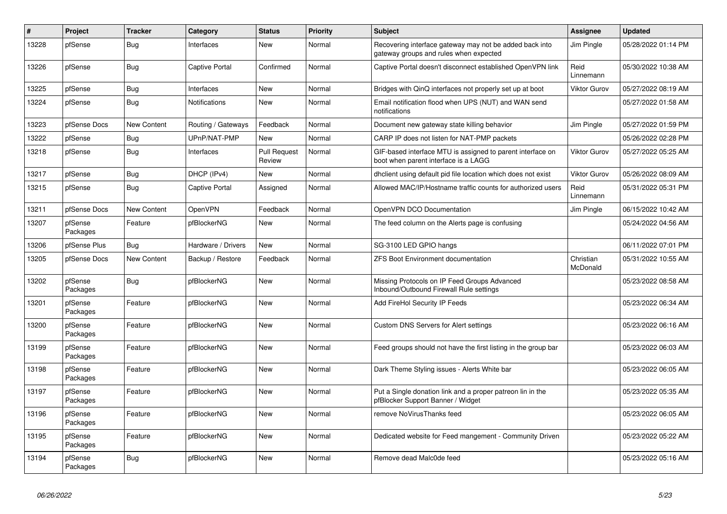| $\#$  | Project             | <b>Tracker</b>     | Category              | <b>Status</b>                 | <b>Priority</b> | <b>Subject</b>                                                                                     | Assignee              | <b>Updated</b>      |
|-------|---------------------|--------------------|-----------------------|-------------------------------|-----------------|----------------------------------------------------------------------------------------------------|-----------------------|---------------------|
| 13228 | pfSense             | Bug                | Interfaces            | <b>New</b>                    | Normal          | Recovering interface gateway may not be added back into<br>gateway groups and rules when expected  | Jim Pingle            | 05/28/2022 01:14 PM |
| 13226 | pfSense             | Bug                | Captive Portal        | Confirmed                     | Normal          | Captive Portal doesn't disconnect established OpenVPN link                                         | Reid<br>Linnemann     | 05/30/2022 10:38 AM |
| 13225 | pfSense             | <b>Bug</b>         | Interfaces            | <b>New</b>                    | Normal          | Bridges with QinQ interfaces not properly set up at boot                                           | <b>Viktor Gurov</b>   | 05/27/2022 08:19 AM |
| 13224 | pfSense             | <b>Bug</b>         | Notifications         | <b>New</b>                    | Normal          | Email notification flood when UPS (NUT) and WAN send<br>notifications                              |                       | 05/27/2022 01:58 AM |
| 13223 | pfSense Docs        | New Content        | Routing / Gateways    | Feedback                      | Normal          | Document new gateway state killing behavior                                                        | Jim Pingle            | 05/27/2022 01:59 PM |
| 13222 | pfSense             | <b>Bug</b>         | UPnP/NAT-PMP          | New                           | Normal          | CARP IP does not listen for NAT-PMP packets                                                        |                       | 05/26/2022 02:28 PM |
| 13218 | pfSense             | <b>Bug</b>         | Interfaces            | <b>Pull Request</b><br>Review | Normal          | GIF-based interface MTU is assigned to parent interface on<br>boot when parent interface is a LAGG | <b>Viktor Gurov</b>   | 05/27/2022 05:25 AM |
| 13217 | pfSense             | Bug                | DHCP (IPv4)           | <b>New</b>                    | Normal          | dhclient using default pid file location which does not exist                                      | <b>Viktor Gurov</b>   | 05/26/2022 08:09 AM |
| 13215 | pfSense             | <b>Bug</b>         | <b>Captive Portal</b> | Assigned                      | Normal          | Allowed MAC/IP/Hostname traffic counts for authorized users                                        | Reid<br>Linnemann     | 05/31/2022 05:31 PM |
| 13211 | pfSense Docs        | <b>New Content</b> | <b>OpenVPN</b>        | Feedback                      | Normal          | OpenVPN DCO Documentation                                                                          | Jim Pingle            | 06/15/2022 10:42 AM |
| 13207 | pfSense<br>Packages | Feature            | pfBlockerNG           | New                           | Normal          | The feed column on the Alerts page is confusing                                                    |                       | 05/24/2022 04:56 AM |
| 13206 | pfSense Plus        | Bug                | Hardware / Drivers    | <b>New</b>                    | Normal          | SG-3100 LED GPIO hangs                                                                             |                       | 06/11/2022 07:01 PM |
| 13205 | pfSense Docs        | <b>New Content</b> | Backup / Restore      | Feedback                      | Normal          | ZFS Boot Environment documentation                                                                 | Christian<br>McDonald | 05/31/2022 10:55 AM |
| 13202 | pfSense<br>Packages | <b>Bug</b>         | pfBlockerNG           | <b>New</b>                    | Normal          | Missing Protocols on IP Feed Groups Advanced<br>Inbound/Outbound Firewall Rule settings            |                       | 05/23/2022 08:58 AM |
| 13201 | pfSense<br>Packages | Feature            | pfBlockerNG           | <b>New</b>                    | Normal          | Add FireHol Security IP Feeds                                                                      |                       | 05/23/2022 06:34 AM |
| 13200 | pfSense<br>Packages | Feature            | pfBlockerNG           | <b>New</b>                    | Normal          | Custom DNS Servers for Alert settings                                                              |                       | 05/23/2022 06:16 AM |
| 13199 | pfSense<br>Packages | Feature            | pfBlockerNG           | <b>New</b>                    | Normal          | Feed groups should not have the first listing in the group bar                                     |                       | 05/23/2022 06:03 AM |
| 13198 | pfSense<br>Packages | Feature            | pfBlockerNG           | New                           | Normal          | Dark Theme Styling issues - Alerts White bar                                                       |                       | 05/23/2022 06:05 AM |
| 13197 | pfSense<br>Packages | Feature            | pfBlockerNG           | <b>New</b>                    | Normal          | Put a Single donation link and a proper patreon lin in the<br>pfBlocker Support Banner / Widget    |                       | 05/23/2022 05:35 AM |
| 13196 | pfSense<br>Packages | Feature            | pfBlockerNG           | <b>New</b>                    | Normal          | remove NoVirusThanks feed                                                                          |                       | 05/23/2022 06:05 AM |
| 13195 | pfSense<br>Packages | Feature            | pfBlockerNG           | New                           | Normal          | Dedicated website for Feed mangement - Community Driven                                            |                       | 05/23/2022 05:22 AM |
| 13194 | pfSense<br>Packages | <b>Bug</b>         | pfBlockerNG           | <b>New</b>                    | Normal          | Remove dead Malc0de feed                                                                           |                       | 05/23/2022 05:16 AM |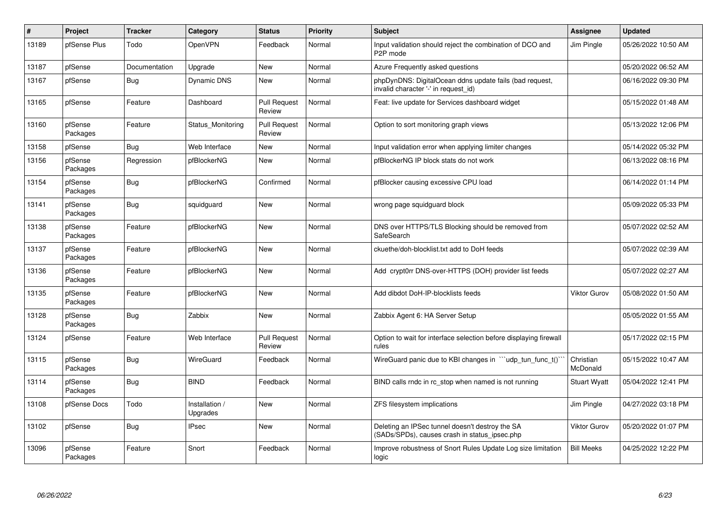| $\pmb{\#}$ | Project             | <b>Tracker</b> | Category                   | <b>Status</b>                 | <b>Priority</b> | <b>Subject</b>                                                                                   | Assignee              | <b>Updated</b>      |
|------------|---------------------|----------------|----------------------------|-------------------------------|-----------------|--------------------------------------------------------------------------------------------------|-----------------------|---------------------|
| 13189      | pfSense Plus        | Todo           | <b>OpenVPN</b>             | Feedback                      | Normal          | Input validation should reject the combination of DCO and<br>P <sub>2</sub> P mode               | Jim Pingle            | 05/26/2022 10:50 AM |
| 13187      | pfSense             | Documentation  | Upgrade                    | <b>New</b>                    | Normal          | Azure Frequently asked questions                                                                 |                       | 05/20/2022 06:52 AM |
| 13167      | pfSense             | <b>Bug</b>     | Dynamic DNS                | <b>New</b>                    | Normal          | phpDynDNS: DigitalOcean ddns update fails (bad request,<br>invalid character '-' in request id)  |                       | 06/16/2022 09:30 PM |
| 13165      | pfSense             | Feature        | Dashboard                  | <b>Pull Request</b><br>Review | Normal          | Feat: live update for Services dashboard widget                                                  |                       | 05/15/2022 01:48 AM |
| 13160      | pfSense<br>Packages | Feature        | Status_Monitoring          | <b>Pull Request</b><br>Review | Normal          | Option to sort monitoring graph views                                                            |                       | 05/13/2022 12:06 PM |
| 13158      | pfSense             | Bug            | Web Interface              | <b>New</b>                    | Normal          | Input validation error when applying limiter changes                                             |                       | 05/14/2022 05:32 PM |
| 13156      | pfSense<br>Packages | Regression     | pfBlockerNG                | New                           | Normal          | pfBlockerNG IP block stats do not work                                                           |                       | 06/13/2022 08:16 PM |
| 13154      | pfSense<br>Packages | Bug            | pfBlockerNG                | Confirmed                     | Normal          | pfBlocker causing excessive CPU load                                                             |                       | 06/14/2022 01:14 PM |
| 13141      | pfSense<br>Packages | Bug            | squidguard                 | New                           | Normal          | wrong page squidguard block                                                                      |                       | 05/09/2022 05:33 PM |
| 13138      | pfSense<br>Packages | Feature        | pfBlockerNG                | <b>New</b>                    | Normal          | DNS over HTTPS/TLS Blocking should be removed from<br>SafeSearch                                 |                       | 05/07/2022 02:52 AM |
| 13137      | pfSense<br>Packages | Feature        | pfBlockerNG                | New                           | Normal          | ckuethe/doh-blocklist.txt add to DoH feeds                                                       |                       | 05/07/2022 02:39 AM |
| 13136      | pfSense<br>Packages | Feature        | pfBlockerNG                | <b>New</b>                    | Normal          | Add crypt0rr DNS-over-HTTPS (DOH) provider list feeds                                            |                       | 05/07/2022 02:27 AM |
| 13135      | pfSense<br>Packages | Feature        | pfBlockerNG                | New                           | Normal          | Add dibdot DoH-IP-blocklists feeds                                                               | <b>Viktor Gurov</b>   | 05/08/2022 01:50 AM |
| 13128      | pfSense<br>Packages | <b>Bug</b>     | Zabbix                     | <b>New</b>                    | Normal          | Zabbix Agent 6: HA Server Setup                                                                  |                       | 05/05/2022 01:55 AM |
| 13124      | pfSense             | Feature        | Web Interface              | <b>Pull Request</b><br>Review | Normal          | Option to wait for interface selection before displaying firewall<br>rules                       |                       | 05/17/2022 02:15 PM |
| 13115      | pfSense<br>Packages | Bug            | WireGuard                  | Feedback                      | Normal          | WireGuard panic due to KBI changes in "'udp_tun_func_t()'                                        | Christian<br>McDonald | 05/15/2022 10:47 AM |
| 13114      | pfSense<br>Packages | <b>Bug</b>     | <b>BIND</b>                | Feedback                      | Normal          | BIND calls rndc in rc stop when named is not running                                             | <b>Stuart Wyatt</b>   | 05/04/2022 12:41 PM |
| 13108      | pfSense Docs        | Todo           | Installation /<br>Upgrades | <b>New</b>                    | Normal          | ZFS filesystem implications                                                                      | Jim Pingle            | 04/27/2022 03:18 PM |
| 13102      | pfSense             | <b>Bug</b>     | <b>IPsec</b>               | New                           | Normal          | Deleting an IPSec tunnel doesn't destroy the SA<br>(SADs/SPDs), causes crash in status ipsec.php | <b>Viktor Gurov</b>   | 05/20/2022 01:07 PM |
| 13096      | pfSense<br>Packages | Feature        | Snort                      | Feedback                      | Normal          | Improve robustness of Snort Rules Update Log size limitation<br>logic                            | <b>Bill Meeks</b>     | 04/25/2022 12:22 PM |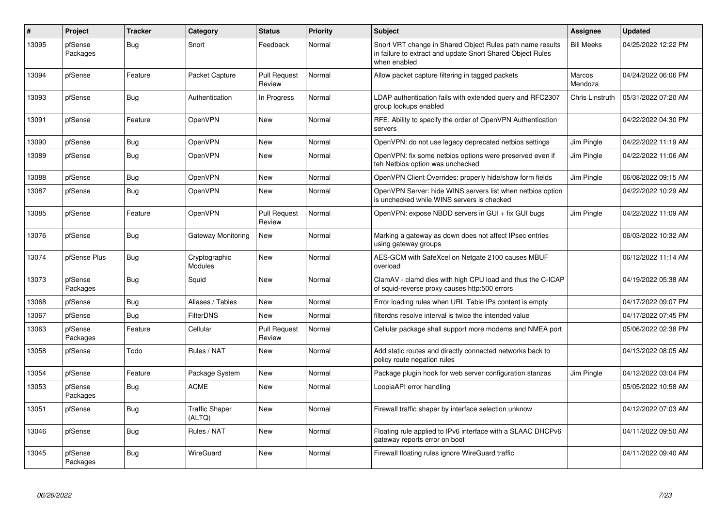| $\#$  | Project             | <b>Tracker</b> | Category                        | <b>Status</b>                 | <b>Priority</b> | <b>Subject</b>                                                                                                                          | Assignee          | <b>Updated</b>      |
|-------|---------------------|----------------|---------------------------------|-------------------------------|-----------------|-----------------------------------------------------------------------------------------------------------------------------------------|-------------------|---------------------|
| 13095 | pfSense<br>Packages | Bug            | Snort                           | Feedback                      | Normal          | Snort VRT change in Shared Object Rules path name results<br>in failure to extract and update Snort Shared Object Rules<br>when enabled | <b>Bill Meeks</b> | 04/25/2022 12:22 PM |
| 13094 | pfSense             | Feature        | Packet Capture                  | <b>Pull Request</b><br>Review | Normal          | Allow packet capture filtering in tagged packets                                                                                        | Marcos<br>Mendoza | 04/24/2022 06:06 PM |
| 13093 | pfSense             | Bug            | Authentication                  | In Progress                   | Normal          | LDAP authentication fails with extended query and RFC2307<br>group lookups enabled                                                      | Chris Linstruth   | 05/31/2022 07:20 AM |
| 13091 | pfSense             | Feature        | OpenVPN                         | <b>New</b>                    | Normal          | RFE: Ability to specify the order of OpenVPN Authentication<br>servers                                                                  |                   | 04/22/2022 04:30 PM |
| 13090 | pfSense             | Bug            | OpenVPN                         | <b>New</b>                    | Normal          | OpenVPN: do not use legacy deprecated netbios settings                                                                                  | Jim Pingle        | 04/22/2022 11:19 AM |
| 13089 | pfSense             | <b>Bug</b>     | OpenVPN                         | <b>New</b>                    | Normal          | OpenVPN: fix some netbios options were preserved even if<br>teh Netbios option was unchecked                                            | Jim Pingle        | 04/22/2022 11:06 AM |
| 13088 | pfSense             | <b>Bug</b>     | OpenVPN                         | <b>New</b>                    | Normal          | OpenVPN Client Overrides: properly hide/show form fields                                                                                | Jim Pingle        | 06/08/2022 09:15 AM |
| 13087 | pfSense             | Bug            | OpenVPN                         | <b>New</b>                    | Normal          | OpenVPN Server: hide WINS servers list when netbios option<br>is unchecked while WINS servers is checked                                |                   | 04/22/2022 10:29 AM |
| 13085 | pfSense             | Feature        | OpenVPN                         | <b>Pull Request</b><br>Review | Normal          | OpenVPN: expose NBDD servers in GUI + fix GUI bugs                                                                                      | Jim Pingle        | 04/22/2022 11:09 AM |
| 13076 | pfSense             | <b>Bug</b>     | Gateway Monitoring              | <b>New</b>                    | Normal          | Marking a gateway as down does not affect IPsec entries<br>using gateway groups                                                         |                   | 06/03/2022 10:32 AM |
| 13074 | pfSense Plus        | Bug            | Cryptographic<br><b>Modules</b> | <b>New</b>                    | Normal          | AES-GCM with SafeXcel on Netgate 2100 causes MBUF<br>overload                                                                           |                   | 06/12/2022 11:14 AM |
| 13073 | pfSense<br>Packages | <b>Bug</b>     | Squid                           | New                           | Normal          | ClamAV - clamd dies with high CPU load and thus the C-ICAP<br>of squid-reverse proxy causes http:500 errors                             |                   | 04/19/2022 05:38 AM |
| 13068 | pfSense             | <b>Bug</b>     | Aliases / Tables                | <b>New</b>                    | Normal          | Error loading rules when URL Table IPs content is empty                                                                                 |                   | 04/17/2022 09:07 PM |
| 13067 | pfSense             | Bug            | <b>FilterDNS</b>                | New                           | Normal          | filterdns resolve interval is twice the intended value                                                                                  |                   | 04/17/2022 07:45 PM |
| 13063 | pfSense<br>Packages | Feature        | Cellular                        | <b>Pull Request</b><br>Review | Normal          | Cellular package shall support more modems and NMEA port                                                                                |                   | 05/06/2022 02:38 PM |
| 13058 | pfSense             | Todo           | Rules / NAT                     | <b>New</b>                    | Normal          | Add static routes and directly connected networks back to<br>policy route negation rules                                                |                   | 04/13/2022 08:05 AM |
| 13054 | pfSense             | Feature        | Package System                  | <b>New</b>                    | Normal          | Package plugin hook for web server configuration stanzas                                                                                | Jim Pingle        | 04/12/2022 03:04 PM |
| 13053 | pfSense<br>Packages | <b>Bug</b>     | <b>ACME</b>                     | <b>New</b>                    | Normal          | LoopiaAPI error handling                                                                                                                |                   | 05/05/2022 10:58 AM |
| 13051 | pfSense             | <b>Bug</b>     | <b>Traffic Shaper</b><br>(ALTQ) | <b>New</b>                    | Normal          | Firewall traffic shaper by interface selection unknow                                                                                   |                   | 04/12/2022 07:03 AM |
| 13046 | pfSense             | Bug            | Rules / NAT                     | <b>New</b>                    | Normal          | Floating rule applied to IPv6 interface with a SLAAC DHCPv6<br>gateway reports error on boot                                            |                   | 04/11/2022 09:50 AM |
| 13045 | pfSense<br>Packages | <b>Bug</b>     | WireGuard                       | <b>New</b>                    | Normal          | Firewall floating rules ignore WireGuard traffic                                                                                        |                   | 04/11/2022 09:40 AM |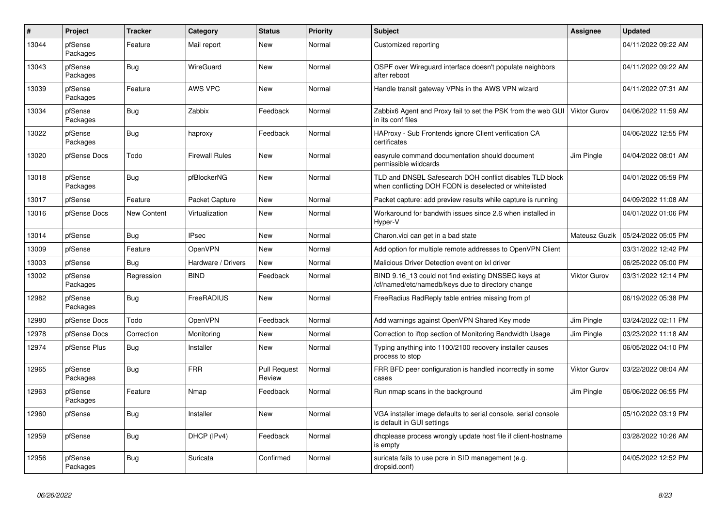| $\vert$ # | Project             | <b>Tracker</b> | Category              | <b>Status</b>                 | <b>Priority</b> | <b>Subject</b>                                                                                                     | Assignee            | <b>Updated</b>      |
|-----------|---------------------|----------------|-----------------------|-------------------------------|-----------------|--------------------------------------------------------------------------------------------------------------------|---------------------|---------------------|
| 13044     | pfSense<br>Packages | Feature        | Mail report           | <b>New</b>                    | Normal          | Customized reporting                                                                                               |                     | 04/11/2022 09:22 AM |
| 13043     | pfSense<br>Packages | <b>Bug</b>     | WireGuard             | <b>New</b>                    | Normal          | OSPF over Wireguard interface doesn't populate neighbors<br>after reboot                                           |                     | 04/11/2022 09:22 AM |
| 13039     | pfSense<br>Packages | Feature        | AWS VPC               | <b>New</b>                    | Normal          | Handle transit gateway VPNs in the AWS VPN wizard                                                                  |                     | 04/11/2022 07:31 AM |
| 13034     | pfSense<br>Packages | Bug            | Zabbix                | Feedback                      | Normal          | Zabbix6 Agent and Proxy fail to set the PSK from the web GUI<br>in its conf files                                  | <b>Viktor Gurov</b> | 04/06/2022 11:59 AM |
| 13022     | pfSense<br>Packages | <b>Bug</b>     | haproxy               | Feedback                      | Normal          | HAProxy - Sub Frontends ignore Client verification CA<br>certificates                                              |                     | 04/06/2022 12:55 PM |
| 13020     | pfSense Docs        | Todo           | <b>Firewall Rules</b> | <b>New</b>                    | Normal          | easyrule command documentation should document<br>permissible wildcards                                            | Jim Pingle          | 04/04/2022 08:01 AM |
| 13018     | pfSense<br>Packages | Bug            | pfBlockerNG           | <b>New</b>                    | Normal          | TLD and DNSBL Safesearch DOH conflict disables TLD block<br>when conflicting DOH FQDN is deselected or whitelisted |                     | 04/01/2022 05:59 PM |
| 13017     | pfSense             | Feature        | Packet Capture        | <b>New</b>                    | Normal          | Packet capture: add preview results while capture is running                                                       |                     | 04/09/2022 11:08 AM |
| 13016     | pfSense Docs        | New Content    | Virtualization        | <b>New</b>                    | Normal          | Workaround for bandwith issues since 2.6 when installed in<br>Hyper-V                                              |                     | 04/01/2022 01:06 PM |
| 13014     | pfSense             | <b>Bug</b>     | <b>IPsec</b>          | New                           | Normal          | Charon.vici can get in a bad state                                                                                 | Mateusz Guzik       | 05/24/2022 05:05 PM |
| 13009     | pfSense             | Feature        | <b>OpenVPN</b>        | <b>New</b>                    | Normal          | Add option for multiple remote addresses to OpenVPN Client                                                         |                     | 03/31/2022 12:42 PM |
| 13003     | pfSense             | Bug            | Hardware / Drivers    | <b>New</b>                    | Normal          | Malicious Driver Detection event on ixl driver                                                                     |                     | 06/25/2022 05:00 PM |
| 13002     | pfSense<br>Packages | Regression     | <b>BIND</b>           | Feedback                      | Normal          | BIND 9.16 13 could not find existing DNSSEC keys at<br>cf/named/etc/namedb/keys due to directory change            | <b>Viktor Gurov</b> | 03/31/2022 12:14 PM |
| 12982     | pfSense<br>Packages | Bug            | FreeRADIUS            | <b>New</b>                    | Normal          | FreeRadius RadReply table entries missing from pf                                                                  |                     | 06/19/2022 05:38 PM |
| 12980     | pfSense Docs        | Todo           | <b>OpenVPN</b>        | Feedback                      | Normal          | Add warnings against OpenVPN Shared Key mode                                                                       | Jim Pingle          | 03/24/2022 02:11 PM |
| 12978     | pfSense Docs        | Correction     | Monitoring            | New                           | Normal          | Correction to iftop section of Monitoring Bandwidth Usage                                                          | Jim Pingle          | 03/23/2022 11:18 AM |
| 12974     | pfSense Plus        | <b>Bug</b>     | Installer             | <b>New</b>                    | Normal          | Typing anything into 1100/2100 recovery installer causes<br>process to stop                                        |                     | 06/05/2022 04:10 PM |
| 12965     | pfSense<br>Packages | <b>Bug</b>     | <b>FRR</b>            | <b>Pull Request</b><br>Review | Normal          | FRR BFD peer configuration is handled incorrectly in some<br>cases                                                 | Viktor Gurov        | 03/22/2022 08:04 AM |
| 12963     | pfSense<br>Packages | Feature        | Nmap                  | Feedback                      | Normal          | Run nmap scans in the background                                                                                   | Jim Pingle          | 06/06/2022 06:55 PM |
| 12960     | pfSense             | Bug            | Installer             | New                           | Normal          | VGA installer image defaults to serial console, serial console<br>is default in GUI settings                       |                     | 05/10/2022 03:19 PM |
| 12959     | pfSense             | Bug            | DHCP (IPv4)           | Feedback                      | Normal          | dhoplease process wrongly update host file if client-hostname<br>is empty                                          |                     | 03/28/2022 10:26 AM |
| 12956     | pfSense<br>Packages | <b>Bug</b>     | Suricata              | Confirmed                     | Normal          | suricata fails to use pcre in SID management (e.g.<br>dropsid.conf)                                                |                     | 04/05/2022 12:52 PM |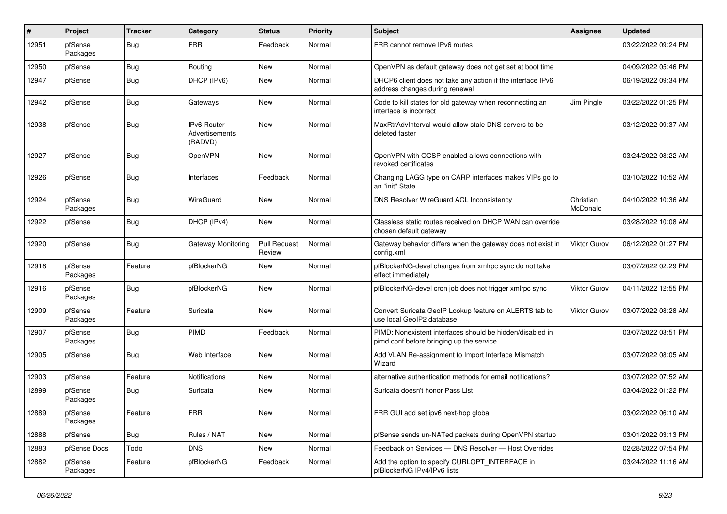| $\#$  | <b>Project</b>      | <b>Tracker</b> | Category                                 | <b>Status</b>                 | <b>Priority</b> | <b>Subject</b>                                                                                        | Assignee              | <b>Updated</b>      |
|-------|---------------------|----------------|------------------------------------------|-------------------------------|-----------------|-------------------------------------------------------------------------------------------------------|-----------------------|---------------------|
| 12951 | pfSense<br>Packages | Bug            | <b>FRR</b>                               | Feedback                      | Normal          | FRR cannot remove IPv6 routes                                                                         |                       | 03/22/2022 09:24 PM |
| 12950 | pfSense             | <b>Bug</b>     | Routing                                  | <b>New</b>                    | Normal          | OpenVPN as default gateway does not get set at boot time                                              |                       | 04/09/2022 05:46 PM |
| 12947 | pfSense             | Bug            | DHCP (IPv6)                              | <b>New</b>                    | Normal          | DHCP6 client does not take any action if the interface IPv6<br>address changes during renewal         |                       | 06/19/2022 09:34 PM |
| 12942 | pfSense             | Bug            | Gateways                                 | <b>New</b>                    | Normal          | Code to kill states for old gateway when reconnecting an<br>interface is incorrect                    | Jim Pingle            | 03/22/2022 01:25 PM |
| 12938 | pfSense             | <b>Bug</b>     | IPv6 Router<br>Advertisements<br>(RADVD) | <b>New</b>                    | Normal          | MaxRtrAdvInterval would allow stale DNS servers to be<br>deleted faster                               |                       | 03/12/2022 09:37 AM |
| 12927 | pfSense             | <b>Bug</b>     | OpenVPN                                  | <b>New</b>                    | Normal          | OpenVPN with OCSP enabled allows connections with<br>revoked certificates                             |                       | 03/24/2022 08:22 AM |
| 12926 | pfSense             | Bug            | Interfaces                               | Feedback                      | Normal          | Changing LAGG type on CARP interfaces makes VIPs go to<br>an "init" State                             |                       | 03/10/2022 10:52 AM |
| 12924 | pfSense<br>Packages | <b>Bug</b>     | WireGuard                                | <b>New</b>                    | Normal          | <b>DNS Resolver WireGuard ACL Inconsistency</b>                                                       | Christian<br>McDonald | 04/10/2022 10:36 AM |
| 12922 | pfSense             | <b>Bug</b>     | DHCP (IPv4)                              | <b>New</b>                    | Normal          | Classless static routes received on DHCP WAN can override<br>chosen default gateway                   |                       | 03/28/2022 10:08 AM |
| 12920 | pfSense             | <b>Bug</b>     | Gateway Monitoring                       | <b>Pull Request</b><br>Review | Normal          | Gateway behavior differs when the gateway does not exist in<br>config.xml                             | <b>Viktor Gurov</b>   | 06/12/2022 01:27 PM |
| 12918 | pfSense<br>Packages | Feature        | pfBlockerNG                              | <b>New</b>                    | Normal          | pfBlockerNG-devel changes from xmlrpc sync do not take<br>effect immediately                          |                       | 03/07/2022 02:29 PM |
| 12916 | pfSense<br>Packages | Bug            | pfBlockerNG                              | <b>New</b>                    | Normal          | pfBlockerNG-devel cron job does not trigger xmlrpc sync                                               | <b>Viktor Gurov</b>   | 04/11/2022 12:55 PM |
| 12909 | pfSense<br>Packages | Feature        | Suricata                                 | <b>New</b>                    | Normal          | Convert Suricata GeoIP Lookup feature on ALERTS tab to<br>use local GeoIP2 database                   | Viktor Gurov          | 03/07/2022 08:28 AM |
| 12907 | pfSense<br>Packages | <b>Bug</b>     | PIMD                                     | Feedback                      | Normal          | PIMD: Nonexistent interfaces should be hidden/disabled in<br>pimd.conf before bringing up the service |                       | 03/07/2022 03:51 PM |
| 12905 | pfSense             | <b>Bug</b>     | Web Interface                            | <b>New</b>                    | Normal          | Add VLAN Re-assignment to Import Interface Mismatch<br>Wizard                                         |                       | 03/07/2022 08:05 AM |
| 12903 | pfSense             | Feature        | <b>Notifications</b>                     | <b>New</b>                    | Normal          | alternative authentication methods for email notifications?                                           |                       | 03/07/2022 07:52 AM |
| 12899 | pfSense<br>Packages | Bug            | Suricata                                 | New                           | Normal          | Suricata doesn't honor Pass List                                                                      |                       | 03/04/2022 01:22 PM |
| 12889 | pfSense<br>Packages | Feature        | <b>FRR</b>                               | <b>New</b>                    | Normal          | FRR GUI add set ipv6 next-hop global                                                                  |                       | 03/02/2022 06:10 AM |
| 12888 | pfSense             | Bug            | Rules / NAT                              | <b>New</b>                    | Normal          | pfSense sends un-NATed packets during OpenVPN startup                                                 |                       | 03/01/2022 03:13 PM |
| 12883 | pfSense Docs        | Todo           | <b>DNS</b>                               | <b>New</b>                    | Normal          | Feedback on Services - DNS Resolver - Host Overrides                                                  |                       | 02/28/2022 07:54 PM |
| 12882 | pfSense<br>Packages | Feature        | pfBlockerNG                              | Feedback                      | Normal          | Add the option to specify CURLOPT_INTERFACE in<br>pfBlockerNG IPv4/IPv6 lists                         |                       | 03/24/2022 11:16 AM |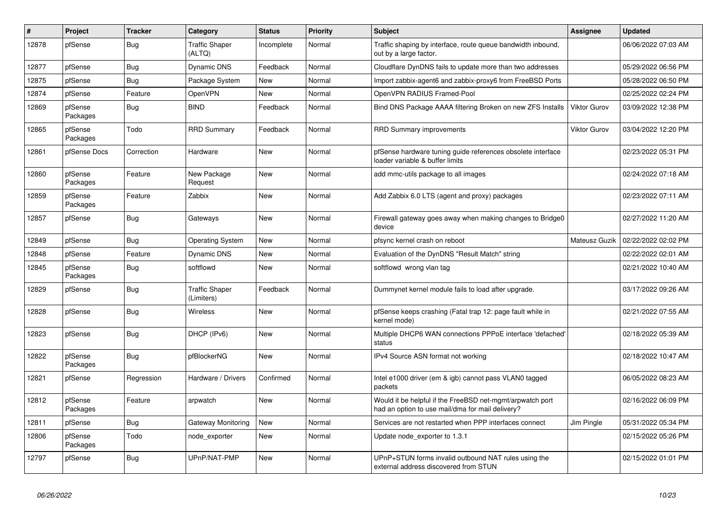| #     | Project             | <b>Tracker</b> | Category                            | <b>Status</b> | <b>Priority</b> | <b>Subject</b>                                                                                                | <b>Assignee</b>     | <b>Updated</b>      |
|-------|---------------------|----------------|-------------------------------------|---------------|-----------------|---------------------------------------------------------------------------------------------------------------|---------------------|---------------------|
| 12878 | pfSense             | <b>Bug</b>     | <b>Traffic Shaper</b><br>(ALTQ)     | Incomplete    | Normal          | Traffic shaping by interface, route queue bandwidth inbound,<br>out by a large factor.                        |                     | 06/06/2022 07:03 AM |
| 12877 | pfSense             | <b>Bug</b>     | <b>Dynamic DNS</b>                  | Feedback      | Normal          | Cloudflare DynDNS fails to update more than two addresses                                                     |                     | 05/29/2022 06:56 PM |
| 12875 | pfSense             | <b>Bug</b>     | Package System                      | New           | Normal          | Import zabbix-agent6 and zabbix-proxy6 from FreeBSD Ports                                                     |                     | 05/28/2022 06:50 PM |
| 12874 | pfSense             | Feature        | OpenVPN                             | <b>New</b>    | Normal          | OpenVPN RADIUS Framed-Pool                                                                                    |                     | 02/25/2022 02:24 PM |
| 12869 | pfSense<br>Packages | Bug            | <b>BIND</b>                         | Feedback      | Normal          | Bind DNS Package AAAA filtering Broken on new ZFS Installs                                                    | <b>Viktor Gurov</b> | 03/09/2022 12:38 PM |
| 12865 | pfSense<br>Packages | Todo           | <b>RRD Summary</b>                  | Feedback      | Normal          | <b>RRD Summary improvements</b>                                                                               | Viktor Gurov        | 03/04/2022 12:20 PM |
| 12861 | pfSense Docs        | Correction     | Hardware                            | <b>New</b>    | Normal          | pfSense hardware tuning guide references obsolete interface<br>loader variable & buffer limits                |                     | 02/23/2022 05:31 PM |
| 12860 | pfSense<br>Packages | Feature        | New Package<br>Request              | <b>New</b>    | Normal          | add mmc-utils package to all images                                                                           |                     | 02/24/2022 07:18 AM |
| 12859 | pfSense<br>Packages | Feature        | Zabbix                              | New           | Normal          | Add Zabbix 6.0 LTS (agent and proxy) packages                                                                 |                     | 02/23/2022 07:11 AM |
| 12857 | pfSense             | <b>Bug</b>     | Gateways                            | New           | Normal          | Firewall gateway goes away when making changes to Bridge0<br>device                                           |                     | 02/27/2022 11:20 AM |
| 12849 | pfSense             | Bug            | <b>Operating System</b>             | <b>New</b>    | Normal          | pfsync kernel crash on reboot                                                                                 | Mateusz Guzik       | 02/22/2022 02:02 PM |
| 12848 | pfSense             | Feature        | <b>Dynamic DNS</b>                  | <b>New</b>    | Normal          | Evaluation of the DynDNS "Result Match" string                                                                |                     | 02/22/2022 02:01 AM |
| 12845 | pfSense<br>Packages | <b>Bug</b>     | softflowd                           | <b>New</b>    | Normal          | softflowd wrong vlan tag                                                                                      |                     | 02/21/2022 10:40 AM |
| 12829 | pfSense             | <b>Bug</b>     | <b>Traffic Shaper</b><br>(Limiters) | Feedback      | Normal          | Dummynet kernel module fails to load after upgrade.                                                           |                     | 03/17/2022 09:26 AM |
| 12828 | pfSense             | Bug            | <b>Wireless</b>                     | New           | Normal          | pfSense keeps crashing (Fatal trap 12: page fault while in<br>kernel mode)                                    |                     | 02/21/2022 07:55 AM |
| 12823 | pfSense             | <b>Bug</b>     | DHCP (IPv6)                         | <b>New</b>    | Normal          | Multiple DHCP6 WAN connections PPPoE interface 'defached'<br>status                                           |                     | 02/18/2022 05:39 AM |
| 12822 | pfSense<br>Packages | Bug            | pfBlockerNG                         | New           | Normal          | IPv4 Source ASN format not working                                                                            |                     | 02/18/2022 10:47 AM |
| 12821 | pfSense             | Regression     | Hardware / Drivers                  | Confirmed     | Normal          | Intel e1000 driver (em & igb) cannot pass VLAN0 tagged<br>packets                                             |                     | 06/05/2022 08:23 AM |
| 12812 | pfSense<br>Packages | Feature        | arpwatch                            | New           | Normal          | Would it be helpful if the FreeBSD net-mgmt/arpwatch port<br>had an option to use mail/dma for mail delivery? |                     | 02/16/2022 06:09 PM |
| 12811 | pfSense             | <b>Bug</b>     | Gateway Monitoring                  | New           | Normal          | Services are not restarted when PPP interfaces connect                                                        | Jim Pingle          | 05/31/2022 05:34 PM |
| 12806 | pfSense<br>Packages | Todo           | node exporter                       | New           | Normal          | Update node exporter to 1.3.1                                                                                 |                     | 02/15/2022 05:26 PM |
| 12797 | pfSense             | Bug            | UPnP/NAT-PMP                        | <b>New</b>    | Normal          | UPnP+STUN forms invalid outbound NAT rules using the<br>external address discovered from STUN                 |                     | 02/15/2022 01:01 PM |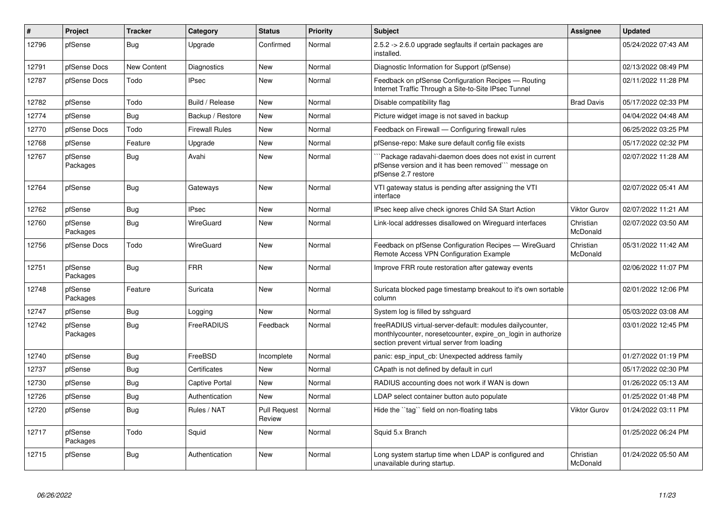| #     | Project             | <b>Tracker</b> | Category              | <b>Status</b>                 | <b>Priority</b> | <b>Subject</b>                                                                                                                                                          | Assignee              | <b>Updated</b>      |
|-------|---------------------|----------------|-----------------------|-------------------------------|-----------------|-------------------------------------------------------------------------------------------------------------------------------------------------------------------------|-----------------------|---------------------|
| 12796 | pfSense             | Bug            | Upgrade               | Confirmed                     | Normal          | 2.5.2 -> 2.6.0 upgrade segfaults if certain packages are<br>installed.                                                                                                  |                       | 05/24/2022 07:43 AM |
| 12791 | pfSense Docs        | New Content    | Diagnostics           | <b>New</b>                    | Normal          | Diagnostic Information for Support (pfSense)                                                                                                                            |                       | 02/13/2022 08:49 PM |
| 12787 | pfSense Docs        | Todo           | <b>IPsec</b>          | <b>New</b>                    | Normal          | Feedback on pfSense Configuration Recipes - Routing<br>Internet Traffic Through a Site-to-Site IPsec Tunnel                                                             |                       | 02/11/2022 11:28 PM |
| 12782 | pfSense             | Todo           | Build / Release       | <b>New</b>                    | Normal          | Disable compatibility flag                                                                                                                                              | <b>Brad Davis</b>     | 05/17/2022 02:33 PM |
| 12774 | pfSense             | Bug            | Backup / Restore      | <b>New</b>                    | Normal          | Picture widget image is not saved in backup                                                                                                                             |                       | 04/04/2022 04:48 AM |
| 12770 | pfSense Docs        | Todo           | <b>Firewall Rules</b> | <b>New</b>                    | Normal          | Feedback on Firewall - Configuring firewall rules                                                                                                                       |                       | 06/25/2022 03:25 PM |
| 12768 | pfSense             | Feature        | Upgrade               | New                           | Normal          | pfSense-repo: Make sure default config file exists                                                                                                                      |                       | 05/17/2022 02:32 PM |
| 12767 | pfSense<br>Packages | <b>Bug</b>     | Avahi                 | <b>New</b>                    | Normal          | `Package radavahi-daemon does does not exist in current<br>pfSense version and it has been removed``` message on<br>pfSense 2.7 restore                                 |                       | 02/07/2022 11:28 AM |
| 12764 | pfSense             | <b>Bug</b>     | Gateways              | <b>New</b>                    | Normal          | VTI gateway status is pending after assigning the VTI<br>interface                                                                                                      |                       | 02/07/2022 05:41 AM |
| 12762 | pfSense             | Bug            | <b>IPsec</b>          | New                           | Normal          | IPsec keep alive check ignores Child SA Start Action                                                                                                                    | <b>Viktor Gurov</b>   | 02/07/2022 11:21 AM |
| 12760 | pfSense<br>Packages | <b>Bug</b>     | WireGuard             | <b>New</b>                    | Normal          | Link-local addresses disallowed on Wireguard interfaces                                                                                                                 | Christian<br>McDonald | 02/07/2022 03:50 AM |
| 12756 | pfSense Docs        | Todo           | WireGuard             | New                           | Normal          | Feedback on pfSense Configuration Recipes - WireGuard<br>Remote Access VPN Configuration Example                                                                        | Christian<br>McDonald | 05/31/2022 11:42 AM |
| 12751 | pfSense<br>Packages | Bug            | <b>FRR</b>            | New                           | Normal          | Improve FRR route restoration after gateway events                                                                                                                      |                       | 02/06/2022 11:07 PM |
| 12748 | pfSense<br>Packages | Feature        | Suricata              | New                           | Normal          | Suricata blocked page timestamp breakout to it's own sortable<br>column                                                                                                 |                       | 02/01/2022 12:06 PM |
| 12747 | pfSense             | <b>Bug</b>     | Logging               | <b>New</b>                    | Normal          | System log is filled by sshguard                                                                                                                                        |                       | 05/03/2022 03:08 AM |
| 12742 | pfSense<br>Packages | Bug            | FreeRADIUS            | Feedback                      | Normal          | freeRADIUS virtual-server-default: modules dailycounter,<br>monthlycounter, noresetcounter, expire on login in authorize<br>section prevent virtual server from loading |                       | 03/01/2022 12:45 PM |
| 12740 | pfSense             | Bug            | FreeBSD               | Incomplete                    | Normal          | panic: esp input cb: Unexpected address family                                                                                                                          |                       | 01/27/2022 01:19 PM |
| 12737 | pfSense             | Bug            | Certificates          | <b>New</b>                    | Normal          | CApath is not defined by default in curl                                                                                                                                |                       | 05/17/2022 02:30 PM |
| 12730 | pfSense             | <b>Bug</b>     | <b>Captive Portal</b> | <b>New</b>                    | Normal          | RADIUS accounting does not work if WAN is down                                                                                                                          |                       | 01/26/2022 05:13 AM |
| 12726 | pfSense             | <b>Bug</b>     | Authentication        | <b>New</b>                    | Normal          | LDAP select container button auto populate                                                                                                                              |                       | 01/25/2022 01:48 PM |
| 12720 | pfSense             | <b>Bug</b>     | Rules / NAT           | <b>Pull Request</b><br>Review | Normal          | Hide the "tag" field on non-floating tabs                                                                                                                               | <b>Viktor Gurov</b>   | 01/24/2022 03:11 PM |
| 12717 | pfSense<br>Packages | Todo           | Squid                 | <b>New</b>                    | Normal          | Squid 5.x Branch                                                                                                                                                        |                       | 01/25/2022 06:24 PM |
| 12715 | pfSense             | <b>Bug</b>     | Authentication        | <b>New</b>                    | Normal          | Long system startup time when LDAP is configured and<br>unavailable during startup.                                                                                     | Christian<br>McDonald | 01/24/2022 05:50 AM |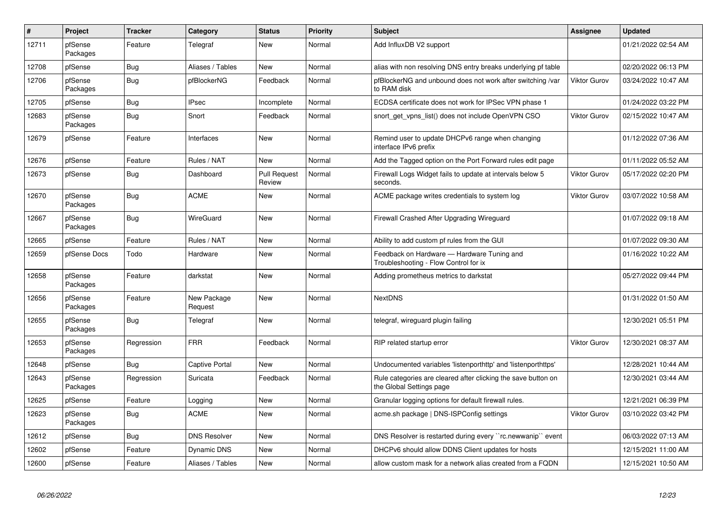| #     | Project             | <b>Tracker</b> | Category               | <b>Status</b>                 | <b>Priority</b> | <b>Subject</b>                                                                            | Assignee            | <b>Updated</b>      |
|-------|---------------------|----------------|------------------------|-------------------------------|-----------------|-------------------------------------------------------------------------------------------|---------------------|---------------------|
| 12711 | pfSense<br>Packages | Feature        | Telegraf               | <b>New</b>                    | Normal          | Add InfluxDB V2 support                                                                   |                     | 01/21/2022 02:54 AM |
| 12708 | pfSense             | Bug            | Aliases / Tables       | New                           | Normal          | alias with non resolving DNS entry breaks underlying pf table                             |                     | 02/20/2022 06:13 PM |
| 12706 | pfSense<br>Packages | Bug            | pfBlockerNG            | Feedback                      | Normal          | pfBlockerNG and unbound does not work after switching /var<br>to RAM disk                 | <b>Viktor Gurov</b> | 03/24/2022 10:47 AM |
| 12705 | pfSense             | Bug            | <b>IPsec</b>           | Incomplete                    | Normal          | ECDSA certificate does not work for IPSec VPN phase 1                                     |                     | 01/24/2022 03:22 PM |
| 12683 | pfSense<br>Packages | Bug            | Snort                  | Feedback                      | Normal          | snort_get_vpns_list() does not include OpenVPN CSO                                        | <b>Viktor Gurov</b> | 02/15/2022 10:47 AM |
| 12679 | pfSense             | Feature        | Interfaces             | New                           | Normal          | Remind user to update DHCPv6 range when changing<br>interface IPv6 prefix                 |                     | 01/12/2022 07:36 AM |
| 12676 | pfSense             | Feature        | Rules / NAT            | <b>New</b>                    | Normal          | Add the Tagged option on the Port Forward rules edit page                                 |                     | 01/11/2022 05:52 AM |
| 12673 | pfSense             | Bug            | Dashboard              | <b>Pull Request</b><br>Review | Normal          | Firewall Logs Widget fails to update at intervals below 5<br>seconds.                     | Viktor Gurov        | 05/17/2022 02:20 PM |
| 12670 | pfSense<br>Packages | Bug            | <b>ACME</b>            | New                           | Normal          | ACME package writes credentials to system log                                             | <b>Viktor Gurov</b> | 03/07/2022 10:58 AM |
| 12667 | pfSense<br>Packages | Bug            | WireGuard              | <b>New</b>                    | Normal          | Firewall Crashed After Upgrading Wireguard                                                |                     | 01/07/2022 09:18 AM |
| 12665 | pfSense             | Feature        | Rules / NAT            | New                           | Normal          | Ability to add custom pf rules from the GUI                                               |                     | 01/07/2022 09:30 AM |
| 12659 | pfSense Docs        | Todo           | Hardware               | New                           | Normal          | Feedback on Hardware - Hardware Tuning and<br>Troubleshooting - Flow Control for ix       |                     | 01/16/2022 10:22 AM |
| 12658 | pfSense<br>Packages | Feature        | darkstat               | <b>New</b>                    | Normal          | Adding prometheus metrics to darkstat                                                     |                     | 05/27/2022 09:44 PM |
| 12656 | pfSense<br>Packages | Feature        | New Package<br>Request | <b>New</b>                    | Normal          | <b>NextDNS</b>                                                                            |                     | 01/31/2022 01:50 AM |
| 12655 | pfSense<br>Packages | Bug            | Telegraf               | New                           | Normal          | telegraf, wireguard plugin failing                                                        |                     | 12/30/2021 05:51 PM |
| 12653 | pfSense<br>Packages | Regression     | <b>FRR</b>             | Feedback                      | Normal          | RIP related startup error                                                                 | <b>Viktor Gurov</b> | 12/30/2021 08:37 AM |
| 12648 | pfSense             | Bug            | <b>Captive Portal</b>  | New                           | Normal          | Undocumented variables 'listenporthttp' and 'listenporthttps'                             |                     | 12/28/2021 10:44 AM |
| 12643 | pfSense<br>Packages | Regression     | Suricata               | Feedback                      | Normal          | Rule categories are cleared after clicking the save button on<br>the Global Settings page |                     | 12/30/2021 03:44 AM |
| 12625 | pfSense             | Feature        | Logging                | New                           | Normal          | Granular logging options for default firewall rules.                                      |                     | 12/21/2021 06:39 PM |
| 12623 | pfSense<br>Packages | Bug            | <b>ACME</b>            | New                           | Normal          | acme.sh package   DNS-ISPConfig settings                                                  | <b>Viktor Gurov</b> | 03/10/2022 03:42 PM |
| 12612 | pfSense             | <b>Bug</b>     | <b>DNS Resolver</b>    | New                           | Normal          | DNS Resolver is restarted during every ``rc.newwanip`` event                              |                     | 06/03/2022 07:13 AM |
| 12602 | pfSense             | Feature        | <b>Dynamic DNS</b>     | New                           | Normal          | DHCPv6 should allow DDNS Client updates for hosts                                         |                     | 12/15/2021 11:00 AM |
| 12600 | pfSense             | Feature        | Aliases / Tables       | New                           | Normal          | allow custom mask for a network alias created from a FQDN                                 |                     | 12/15/2021 10:50 AM |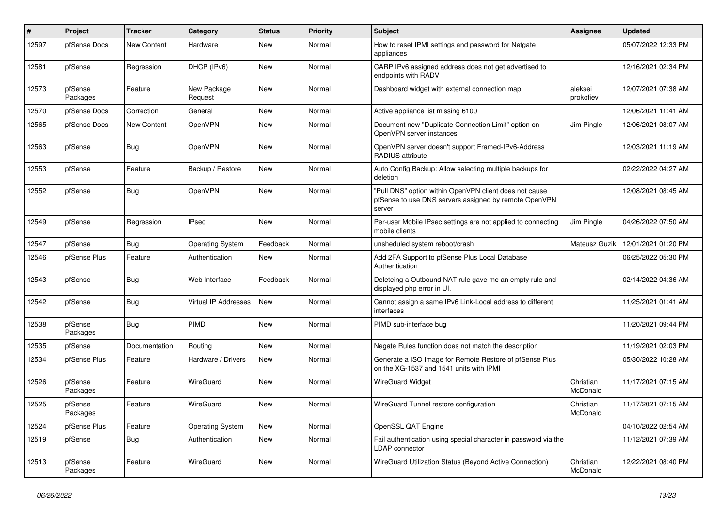| ∦     | Project             | <b>Tracker</b>     | Category                | <b>Status</b> | <b>Priority</b> | <b>Subject</b>                                                                                                            | <b>Assignee</b>       | <b>Updated</b>      |
|-------|---------------------|--------------------|-------------------------|---------------|-----------------|---------------------------------------------------------------------------------------------------------------------------|-----------------------|---------------------|
| 12597 | pfSense Docs        | <b>New Content</b> | Hardware                | <b>New</b>    | Normal          | How to reset IPMI settings and password for Netgate<br>appliances                                                         |                       | 05/07/2022 12:33 PM |
| 12581 | pfSense             | Regression         | DHCP (IPv6)             | New           | Normal          | CARP IPv6 assigned address does not get advertised to<br>endpoints with RADV                                              |                       | 12/16/2021 02:34 PM |
| 12573 | pfSense<br>Packages | Feature            | New Package<br>Request  | <b>New</b>    | Normal          | Dashboard widget with external connection map                                                                             | aleksei<br>prokofiev  | 12/07/2021 07:38 AM |
| 12570 | pfSense Docs        | Correction         | General                 | <b>New</b>    | Normal          | Active appliance list missing 6100                                                                                        |                       | 12/06/2021 11:41 AM |
| 12565 | pfSense Docs        | New Content        | OpenVPN                 | New           | Normal          | Document new "Duplicate Connection Limit" option on<br>OpenVPN server instances                                           | Jim Pingle            | 12/06/2021 08:07 AM |
| 12563 | pfSense             | <b>Bug</b>         | OpenVPN                 | New           | Normal          | OpenVPN server doesn't support Framed-IPv6-Address<br>RADIUS attribute                                                    |                       | 12/03/2021 11:19 AM |
| 12553 | pfSense             | Feature            | Backup / Restore        | <b>New</b>    | Normal          | Auto Config Backup: Allow selecting multiple backups for<br>deletion                                                      |                       | 02/22/2022 04:27 AM |
| 12552 | pfSense             | <b>Bug</b>         | OpenVPN                 | New           | Normal          | "Pull DNS" option within OpenVPN client does not cause<br>pfSense to use DNS servers assigned by remote OpenVPN<br>server |                       | 12/08/2021 08:45 AM |
| 12549 | pfSense             | Regression         | <b>IPsec</b>            | <b>New</b>    | Normal          | Per-user Mobile IPsec settings are not applied to connecting<br>mobile clients                                            | Jim Pingle            | 04/26/2022 07:50 AM |
| 12547 | pfSense             | <b>Bug</b>         | <b>Operating System</b> | Feedback      | Normal          | unsheduled system reboot/crash                                                                                            | Mateusz Guzik         | 12/01/2021 01:20 PM |
| 12546 | pfSense Plus        | Feature            | Authentication          | New           | Normal          | Add 2FA Support to pfSense Plus Local Database<br>Authentication                                                          |                       | 06/25/2022 05:30 PM |
| 12543 | pfSense             | <b>Bug</b>         | Web Interface           | Feedback      | Normal          | Deleteing a Outbound NAT rule gave me an empty rule and<br>displayed php error in UI.                                     |                       | 02/14/2022 04:36 AM |
| 12542 | pfSense             | <b>Bug</b>         | Virtual IP Addresses    | New           | Normal          | Cannot assign a same IPv6 Link-Local address to different<br>interfaces                                                   |                       | 11/25/2021 01:41 AM |
| 12538 | pfSense<br>Packages | <b>Bug</b>         | <b>PIMD</b>             | New           | Normal          | PIMD sub-interface bug                                                                                                    |                       | 11/20/2021 09:44 PM |
| 12535 | pfSense             | Documentation      | Routing                 | New           | Normal          | Negate Rules function does not match the description                                                                      |                       | 11/19/2021 02:03 PM |
| 12534 | pfSense Plus        | Feature            | Hardware / Drivers      | New           | Normal          | Generate a ISO Image for Remote Restore of pfSense Plus<br>on the XG-1537 and 1541 units with IPMI                        |                       | 05/30/2022 10:28 AM |
| 12526 | pfSense<br>Packages | Feature            | WireGuard               | New           | Normal          | <b>WireGuard Widget</b>                                                                                                   | Christian<br>McDonald | 11/17/2021 07:15 AM |
| 12525 | pfSense<br>Packages | Feature            | WireGuard               | New           | Normal          | WireGuard Tunnel restore configuration                                                                                    | Christian<br>McDonald | 11/17/2021 07:15 AM |
| 12524 | pfSense Plus        | Feature            | <b>Operating System</b> | New           | Normal          | OpenSSL QAT Engine                                                                                                        |                       | 04/10/2022 02:54 AM |
| 12519 | pfSense             | <b>Bug</b>         | Authentication          | New           | Normal          | Fail authentication using special character in password via the<br>LDAP connector                                         |                       | 11/12/2021 07:39 AM |
| 12513 | pfSense<br>Packages | Feature            | WireGuard               | New           | Normal          | WireGuard Utilization Status (Beyond Active Connection)                                                                   | Christian<br>McDonald | 12/22/2021 08:40 PM |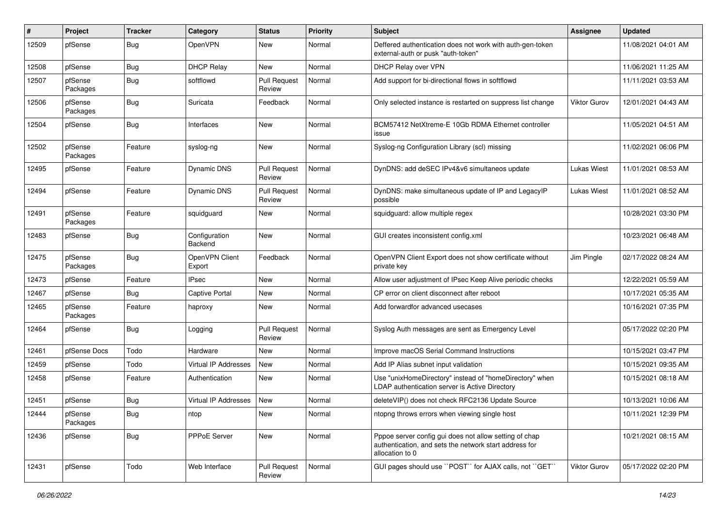| ∦     | Project             | <b>Tracker</b> | Category                 | <b>Status</b>                 | Priority | Subject                                                                                                                             | <b>Assignee</b>     | <b>Updated</b>      |
|-------|---------------------|----------------|--------------------------|-------------------------------|----------|-------------------------------------------------------------------------------------------------------------------------------------|---------------------|---------------------|
| 12509 | pfSense             | <b>Bug</b>     | OpenVPN                  | New                           | Normal   | Deffered authentication does not work with auth-gen-token<br>external-auth or pusk "auth-token"                                     |                     | 11/08/2021 04:01 AM |
| 12508 | pfSense             | <b>Bug</b>     | <b>DHCP Relay</b>        | New                           | Normal   | DHCP Relay over VPN                                                                                                                 |                     | 11/06/2021 11:25 AM |
| 12507 | pfSense<br>Packages | <b>Bug</b>     | softflowd                | <b>Pull Request</b><br>Review | Normal   | Add support for bi-directional flows in softflowd                                                                                   |                     | 11/11/2021 03:53 AM |
| 12506 | pfSense<br>Packages | <b>Bug</b>     | Suricata                 | Feedback                      | Normal   | Only selected instance is restarted on suppress list change                                                                         | <b>Viktor Gurov</b> | 12/01/2021 04:43 AM |
| 12504 | pfSense             | <b>Bug</b>     | Interfaces               | <b>New</b>                    | Normal   | BCM57412 NetXtreme-E 10Gb RDMA Ethernet controller<br>issue                                                                         |                     | 11/05/2021 04:51 AM |
| 12502 | pfSense<br>Packages | Feature        | syslog-ng                | New                           | Normal   | Syslog-ng Configuration Library (scl) missing                                                                                       |                     | 11/02/2021 06:06 PM |
| 12495 | pfSense             | Feature        | <b>Dynamic DNS</b>       | <b>Pull Request</b><br>Review | Normal   | DynDNS: add deSEC IPv4&v6 simultaneos update                                                                                        | <b>Lukas Wiest</b>  | 11/01/2021 08:53 AM |
| 12494 | pfSense             | Feature        | <b>Dynamic DNS</b>       | <b>Pull Request</b><br>Review | Normal   | DynDNS: make simultaneous update of IP and LegacyIP<br>possible                                                                     | <b>Lukas Wiest</b>  | 11/01/2021 08:52 AM |
| 12491 | pfSense<br>Packages | Feature        | squidguard               | New                           | Normal   | squidguard: allow multiple regex                                                                                                    |                     | 10/28/2021 03:30 PM |
| 12483 | pfSense             | <b>Bug</b>     | Configuration<br>Backend | <b>New</b>                    | Normal   | GUI creates inconsistent config.xml                                                                                                 |                     | 10/23/2021 06:48 AM |
| 12475 | pfSense<br>Packages | Bug            | OpenVPN Client<br>Export | Feedback                      | Normal   | OpenVPN Client Export does not show certificate without<br>private key                                                              | Jim Pingle          | 02/17/2022 08:24 AM |
| 12473 | pfSense             | Feature        | <b>IPsec</b>             | <b>New</b>                    | Normal   | Allow user adjustment of IPsec Keep Alive periodic checks                                                                           |                     | 12/22/2021 05:59 AM |
| 12467 | pfSense             | Bug            | Captive Portal           | New                           | Normal   | CP error on client disconnect after reboot                                                                                          |                     | 10/17/2021 05:35 AM |
| 12465 | pfSense<br>Packages | Feature        | haproxy                  | New                           | Normal   | Add forwardfor advanced usecases                                                                                                    |                     | 10/16/2021 07:35 PM |
| 12464 | pfSense             | <b>Bug</b>     | Logging                  | <b>Pull Request</b><br>Review | Normal   | Syslog Auth messages are sent as Emergency Level                                                                                    |                     | 05/17/2022 02:20 PM |
| 12461 | pfSense Docs        | Todo           | Hardware                 | New                           | Normal   | Improve macOS Serial Command Instructions                                                                                           |                     | 10/15/2021 03:47 PM |
| 12459 | pfSense             | Todo           | Virtual IP Addresses     | New                           | Normal   | Add IP Alias subnet input validation                                                                                                |                     | 10/15/2021 09:35 AM |
| 12458 | pfSense             | Feature        | Authentication           | <b>New</b>                    | Normal   | Use "unixHomeDirectory" instead of "homeDirectory" when<br>LDAP authentication server is Active Directory                           |                     | 10/15/2021 08:18 AM |
| 12451 | pfSense             | <b>Bug</b>     | Virtual IP Addresses     | New                           | Normal   | deleteVIP() does not check RFC2136 Update Source                                                                                    |                     | 10/13/2021 10:06 AM |
| 12444 | pfSense<br>Packages | <b>Bug</b>     | ntop                     | New                           | Normal   | ntopng throws errors when viewing single host                                                                                       |                     | 10/11/2021 12:39 PM |
| 12436 | pfSense             | <b>Bug</b>     | PPPoE Server             | New                           | Normal   | Pppoe server config gui does not allow setting of chap<br>authentication, and sets the network start address for<br>allocation to 0 |                     | 10/21/2021 08:15 AM |
| 12431 | pfSense             | Todo           | Web Interface            | Pull Request<br>Review        | Normal   | GUI pages should use "POST" for AJAX calls, not "GET"                                                                               | Viktor Gurov        | 05/17/2022 02:20 PM |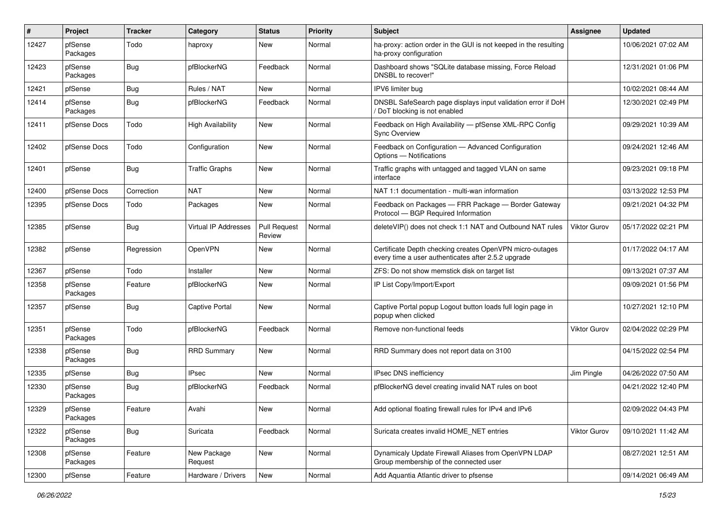| #     | Project             | <b>Tracker</b> | Category                    | <b>Status</b>                 | <b>Priority</b> | <b>Subject</b>                                                                                                  | <b>Assignee</b>     | <b>Updated</b>      |
|-------|---------------------|----------------|-----------------------------|-------------------------------|-----------------|-----------------------------------------------------------------------------------------------------------------|---------------------|---------------------|
| 12427 | pfSense<br>Packages | Todo           | haproxy                     | New                           | Normal          | ha-proxy: action order in the GUI is not keeped in the resulting<br>ha-proxy configuration                      |                     | 10/06/2021 07:02 AM |
| 12423 | pfSense<br>Packages | <b>Bug</b>     | pfBlockerNG                 | Feedback                      | Normal          | Dashboard shows "SQLite database missing, Force Reload<br>DNSBL to recover!"                                    |                     | 12/31/2021 01:06 PM |
| 12421 | pfSense             | <b>Bug</b>     | Rules / NAT                 | <b>New</b>                    | Normal          | IPV6 limiter bug                                                                                                |                     | 10/02/2021 08:44 AM |
| 12414 | pfSense<br>Packages | <b>Bug</b>     | pfBlockerNG                 | Feedback                      | Normal          | DNSBL SafeSearch page displays input validation error if DoH<br>DoT blocking is not enabled                     |                     | 12/30/2021 02:49 PM |
| 12411 | pfSense Docs        | Todo           | <b>High Availability</b>    | New                           | Normal          | Feedback on High Availability - pfSense XML-RPC Config<br><b>Sync Overview</b>                                  |                     | 09/29/2021 10:39 AM |
| 12402 | pfSense Docs        | Todo           | Configuration               | New                           | Normal          | Feedback on Configuration - Advanced Configuration<br>Options - Notifications                                   |                     | 09/24/2021 12:46 AM |
| 12401 | pfSense             | Bug            | <b>Traffic Graphs</b>       | New                           | Normal          | Traffic graphs with untagged and tagged VLAN on same<br>interface                                               |                     | 09/23/2021 09:18 PM |
| 12400 | pfSense Docs        | Correction     | <b>NAT</b>                  | New                           | Normal          | NAT 1:1 documentation - multi-wan information                                                                   |                     | 03/13/2022 12:53 PM |
| 12395 | pfSense Docs        | Todo           | Packages                    | New                           | Normal          | Feedback on Packages - FRR Package - Border Gateway<br>Protocol - BGP Required Information                      |                     | 09/21/2021 04:32 PM |
| 12385 | pfSense             | <b>Bug</b>     | <b>Virtual IP Addresses</b> | <b>Pull Request</b><br>Review | Normal          | deleteVIP() does not check 1:1 NAT and Outbound NAT rules                                                       | <b>Viktor Gurov</b> | 05/17/2022 02:21 PM |
| 12382 | pfSense             | Regression     | OpenVPN                     | New                           | Normal          | Certificate Depth checking creates OpenVPN micro-outages<br>every time a user authenticates after 2.5.2 upgrade |                     | 01/17/2022 04:17 AM |
| 12367 | pfSense             | Todo           | Installer                   | New                           | Normal          | ZFS: Do not show memstick disk on target list                                                                   |                     | 09/13/2021 07:37 AM |
| 12358 | pfSense<br>Packages | Feature        | pfBlockerNG                 | New                           | Normal          | IP List Copy/Import/Export                                                                                      |                     | 09/09/2021 01:56 PM |
| 12357 | pfSense             | <b>Bug</b>     | <b>Captive Portal</b>       | <b>New</b>                    | Normal          | Captive Portal popup Logout button loads full login page in<br>popup when clicked                               |                     | 10/27/2021 12:10 PM |
| 12351 | pfSense<br>Packages | Todo           | pfBlockerNG                 | Feedback                      | Normal          | Remove non-functional feeds                                                                                     | Viktor Gurov        | 02/04/2022 02:29 PM |
| 12338 | pfSense<br>Packages | <b>Bug</b>     | <b>RRD Summary</b>          | New                           | Normal          | RRD Summary does not report data on 3100                                                                        |                     | 04/15/2022 02:54 PM |
| 12335 | pfSense             | Bug            | <b>IPsec</b>                | New                           | Normal          | <b>IPsec DNS inefficiency</b>                                                                                   | Jim Pingle          | 04/26/2022 07:50 AM |
| 12330 | pfSense<br>Packages | <b>Bug</b>     | pfBlockerNG                 | Feedback                      | Normal          | pfBlockerNG devel creating invalid NAT rules on boot                                                            |                     | 04/21/2022 12:40 PM |
| 12329 | pfSense<br>Packages | Feature        | Avahi                       | New                           | Normal          | Add optional floating firewall rules for IPv4 and IPv6                                                          |                     | 02/09/2022 04:43 PM |
| 12322 | pfSense<br>Packages | <b>Bug</b>     | Suricata                    | Feedback                      | Normal          | Suricata creates invalid HOME_NET entries                                                                       | Viktor Gurov        | 09/10/2021 11:42 AM |
| 12308 | pfSense<br>Packages | Feature        | New Package<br>Request      | New                           | Normal          | Dynamicaly Update Firewall Aliases from OpenVPN LDAP<br>Group membership of the connected user                  |                     | 08/27/2021 12:51 AM |
| 12300 | pfSense             | Feature        | Hardware / Drivers          | New                           | Normal          | Add Aquantia Atlantic driver to pfsense                                                                         |                     | 09/14/2021 06:49 AM |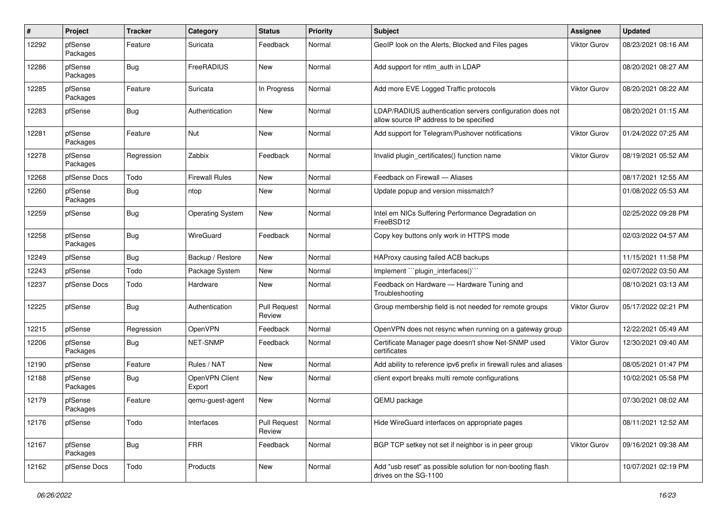| #     | Project             | <b>Tracker</b> | Category                 | <b>Status</b>                 | <b>Priority</b> | <b>Subject</b>                                                                                       | <b>Assignee</b>     | <b>Updated</b>      |
|-------|---------------------|----------------|--------------------------|-------------------------------|-----------------|------------------------------------------------------------------------------------------------------|---------------------|---------------------|
| 12292 | pfSense<br>Packages | Feature        | Suricata                 | Feedback                      | Normal          | GeoIP look on the Alerts, Blocked and Files pages                                                    | <b>Viktor Gurov</b> | 08/23/2021 08:16 AM |
| 12286 | pfSense<br>Packages | <b>Bug</b>     | FreeRADIUS               | <b>New</b>                    | Normal          | Add support for ntlm auth in LDAP                                                                    |                     | 08/20/2021 08:27 AM |
| 12285 | pfSense<br>Packages | Feature        | Suricata                 | In Progress                   | Normal          | Add more EVE Logged Traffic protocols                                                                | <b>Viktor Gurov</b> | 08/20/2021 08:22 AM |
| 12283 | pfSense             | <b>Bug</b>     | Authentication           | <b>New</b>                    | Normal          | LDAP/RADIUS authentication servers configuration does not<br>allow source IP address to be specified |                     | 08/20/2021 01:15 AM |
| 12281 | pfSense<br>Packages | Feature        | Nut                      | <b>New</b>                    | Normal          | Add support for Telegram/Pushover notifications                                                      | <b>Viktor Gurov</b> | 01/24/2022 07:25 AM |
| 12278 | pfSense<br>Packages | Regression     | Zabbix                   | Feedback                      | Normal          | Invalid plugin_certificates() function name                                                          | <b>Viktor Gurov</b> | 08/19/2021 05:52 AM |
| 12268 | pfSense Docs        | Todo           | <b>Firewall Rules</b>    | <b>New</b>                    | Normal          | Feedback on Firewall - Aliases                                                                       |                     | 08/17/2021 12:55 AM |
| 12260 | pfSense<br>Packages | Bug            | ntop                     | New                           | Normal          | Update popup and version missmatch?                                                                  |                     | 01/08/2022 05:53 AM |
| 12259 | pfSense             | <b>Bug</b>     | <b>Operating System</b>  | <b>New</b>                    | Normal          | Intel em NICs Suffering Performance Degradation on<br>FreeBSD12                                      |                     | 02/25/2022 09:28 PM |
| 12258 | pfSense<br>Packages | <b>Bug</b>     | WireGuard                | Feedback                      | Normal          | Copy key buttons only work in HTTPS mode                                                             |                     | 02/03/2022 04:57 AM |
| 12249 | pfSense             | <b>Bug</b>     | Backup / Restore         | <b>New</b>                    | Normal          | HAProxy causing failed ACB backups                                                                   |                     | 11/15/2021 11:58 PM |
| 12243 | pfSense             | Todo           | Package System           | New                           | Normal          | Implement "plugin interfaces()"                                                                      |                     | 02/07/2022 03:50 AM |
| 12237 | pfSense Docs        | Todo           | Hardware                 | New                           | Normal          | Feedback on Hardware - Hardware Tuning and<br>Troubleshooting                                        |                     | 08/10/2021 03:13 AM |
| 12225 | pfSense             | Bug            | Authentication           | <b>Pull Request</b><br>Review | Normal          | Group membership field is not needed for remote groups                                               | <b>Viktor Gurov</b> | 05/17/2022 02:21 PM |
| 12215 | pfSense             | Regression     | OpenVPN                  | Feedback                      | Normal          | OpenVPN does not resync when running on a gateway group                                              |                     | 12/22/2021 05:49 AM |
| 12206 | pfSense<br>Packages | <b>Bug</b>     | <b>NET-SNMP</b>          | Feedback                      | Normal          | Certificate Manager page doesn't show Net-SNMP used<br>certificates                                  | <b>Viktor Gurov</b> | 12/30/2021 09:40 AM |
| 12190 | pfSense             | Feature        | Rules / NAT              | <b>New</b>                    | Normal          | Add ability to reference ipv6 prefix in firewall rules and aliases                                   |                     | 08/05/2021 01:47 PM |
| 12188 | pfSense<br>Packages | <b>Bug</b>     | OpenVPN Client<br>Export | New                           | Normal          | client export breaks multi remote configurations                                                     |                     | 10/02/2021 05:58 PM |
| 12179 | pfSense<br>Packages | Feature        | gemu-guest-agent         | <b>New</b>                    | Normal          | QEMU package                                                                                         |                     | 07/30/2021 08:02 AM |
| 12176 | pfSense             | Todo           | Interfaces               | <b>Pull Request</b><br>Review | Normal          | Hide WireGuard interfaces on appropriate pages                                                       |                     | 08/11/2021 12:52 AM |
| 12167 | pfSense<br>Packages | <b>Bug</b>     | <b>FRR</b>               | Feedback                      | Normal          | BGP TCP setkey not set if neighbor is in peer group                                                  | <b>Viktor Gurov</b> | 09/16/2021 09:38 AM |
| 12162 | pfSense Docs        | Todo           | Products                 | New                           | Normal          | Add "usb reset" as possible solution for non-booting flash<br>drives on the SG-1100                  |                     | 10/07/2021 02:19 PM |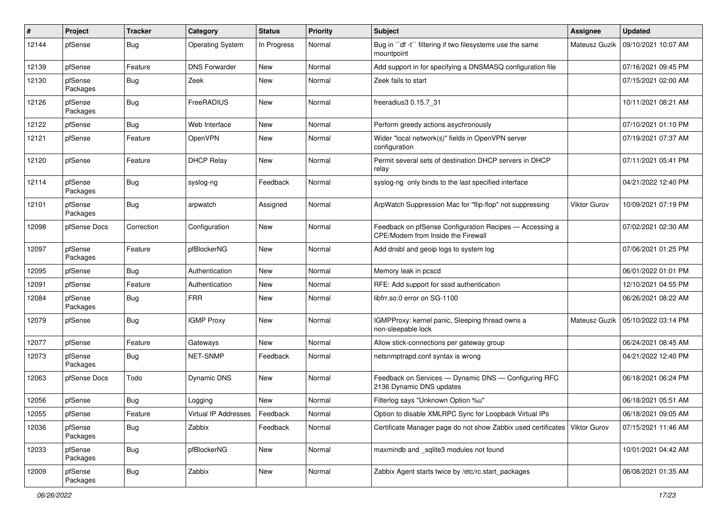| #     | Project             | <b>Tracker</b> | Category                | <b>Status</b> | <b>Priority</b> | <b>Subject</b>                                                                                | <b>Assignee</b>     | <b>Updated</b>      |
|-------|---------------------|----------------|-------------------------|---------------|-----------------|-----------------------------------------------------------------------------------------------|---------------------|---------------------|
| 12144 | pfSense             | <b>Bug</b>     | <b>Operating System</b> | In Progress   | Normal          | Bug in "df -t" filtering if two filesystems use the same<br>mountpoint                        | Mateusz Guzik       | 09/10/2021 10:07 AM |
| 12139 | pfSense             | Feature        | <b>DNS Forwarder</b>    | New           | Normal          | Add support in for specifying a DNSMASQ configuration file                                    |                     | 07/16/2021 09:45 PM |
| 12130 | pfSense<br>Packages | <b>Bug</b>     | Zeek                    | New           | Normal          | Zeek fails to start                                                                           |                     | 07/15/2021 02:00 AM |
| 12126 | pfSense<br>Packages | <b>Bug</b>     | FreeRADIUS              | <b>New</b>    | Normal          | freeradius3 0.15.7 31                                                                         |                     | 10/11/2021 08:21 AM |
| 12122 | pfSense             | <b>Bug</b>     | Web Interface           | <b>New</b>    | Normal          | Perform greedy actions asychronously                                                          |                     | 07/10/2021 01:10 PM |
| 12121 | pfSense             | Feature        | OpenVPN                 | New           | Normal          | Wider "local network(s)" fields in OpenVPN server<br>configuration                            |                     | 07/19/2021 07:37 AM |
| 12120 | pfSense             | Feature        | <b>DHCP Relay</b>       | <b>New</b>    | Normal          | Permit several sets of destination DHCP servers in DHCP<br>relay                              |                     | 07/11/2021 05:41 PM |
| 12114 | pfSense<br>Packages | Bug            | syslog-ng               | Feedback      | Normal          | syslog-ng only binds to the last specified interface                                          |                     | 04/21/2022 12:40 PM |
| 12101 | pfSense<br>Packages | Bug            | arpwatch                | Assigned      | Normal          | ArpWatch Suppression Mac for "flip-flop" not suppressing                                      | <b>Viktor Gurov</b> | 10/09/2021 07:19 PM |
| 12098 | pfSense Docs        | Correction     | Configuration           | <b>New</b>    | Normal          | Feedback on pfSense Configuration Recipes - Accessing a<br>CPE/Modem from Inside the Firewall |                     | 07/02/2021 02:30 AM |
| 12097 | pfSense<br>Packages | Feature        | pfBlockerNG             | <b>New</b>    | Normal          | Add dnsbl and geoip logs to system log                                                        |                     | 07/06/2021 01:25 PM |
| 12095 | pfSense             | <b>Bug</b>     | Authentication          | <b>New</b>    | Normal          | Memory leak in pcscd                                                                          |                     | 06/01/2022 01:01 PM |
| 12091 | pfSense             | Feature        | Authentication          | New           | Normal          | RFE: Add support for sssd authentication                                                      |                     | 12/10/2021 04:55 PM |
| 12084 | pfSense<br>Packages | <b>Bug</b>     | <b>FRR</b>              | New           | Normal          | libfrr.so.0 error on SG-1100                                                                  |                     | 06/26/2021 08:22 AM |
| 12079 | pfSense             | <b>Bug</b>     | <b>IGMP Proxy</b>       | <b>New</b>    | Normal          | IGMPProxy: kernel panic, Sleeping thread owns a<br>non-sleepable lock                         | Mateusz Guzik       | 05/10/2022 03:14 PM |
| 12077 | pfSense             | Feature        | Gateways                | <b>New</b>    | Normal          | Allow stick-connections per gateway group                                                     |                     | 06/24/2021 08:45 AM |
| 12073 | pfSense<br>Packages | <b>Bug</b>     | NET-SNMP                | Feedback      | Normal          | netsnmptrapd.conf syntax is wrong                                                             |                     | 04/21/2022 12:40 PM |
| 12063 | pfSense Docs        | Todo           | <b>Dynamic DNS</b>      | <b>New</b>    | Normal          | Feedback on Services - Dynamic DNS - Configuring RFC<br>2136 Dynamic DNS updates              |                     | 06/18/2021 06:24 PM |
| 12056 | pfSense             | <b>Bug</b>     | Logging                 | <b>New</b>    | Normal          | Filterlog says "Unknown Option %u"                                                            |                     | 06/18/2021 05:51 AM |
| 12055 | pfSense             | Feature        | Virtual IP Addresses    | Feedback      | Normal          | Option to disable XMLRPC Sync for Loopback Virtual IPs                                        |                     | 06/18/2021 09:05 AM |
| 12036 | pfSense<br>Packages | <b>Bug</b>     | Zabbix                  | Feedback      | Normal          | Certificate Manager page do not show Zabbix used certificates   Viktor Gurov                  |                     | 07/15/2021 11:46 AM |
| 12033 | pfSense<br>Packages | <b>Bug</b>     | pfBlockerNG             | New           | Normal          | maxmindb and _sqlite3 modules not found                                                       |                     | 10/01/2021 04:42 AM |
| 12009 | pfSense<br>Packages | <b>Bug</b>     | Zabbix                  | New           | Normal          | Zabbix Agent starts twice by /etc/rc.start packages                                           |                     | 06/08/2021 01:35 AM |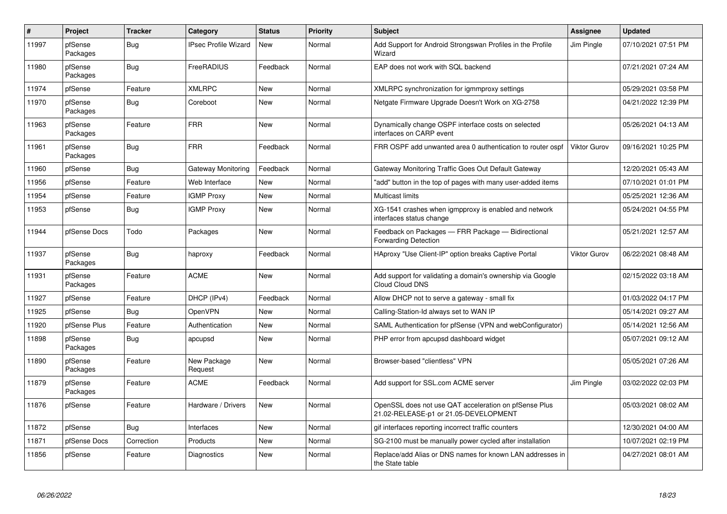| $\vert$ # | Project             | <b>Tracker</b> | Category                    | <b>Status</b> | <b>Priority</b> | <b>Subject</b>                                                                                 | Assignee     | <b>Updated</b>      |
|-----------|---------------------|----------------|-----------------------------|---------------|-----------------|------------------------------------------------------------------------------------------------|--------------|---------------------|
| 11997     | pfSense<br>Packages | Bug            | <b>IPsec Profile Wizard</b> | <b>New</b>    | Normal          | Add Support for Android Strongswan Profiles in the Profile<br>Wizard                           | Jim Pingle   | 07/10/2021 07:51 PM |
| 11980     | pfSense<br>Packages | <b>Bug</b>     | FreeRADIUS                  | Feedback      | Normal          | EAP does not work with SQL backend                                                             |              | 07/21/2021 07:24 AM |
| 11974     | pfSense             | Feature        | <b>XMLRPC</b>               | New           | Normal          | XMLRPC synchronization for igmmproxy settings                                                  |              | 05/29/2021 03:58 PM |
| 11970     | pfSense<br>Packages | Bug            | Coreboot                    | New           | Normal          | Netgate Firmware Upgrade Doesn't Work on XG-2758                                               |              | 04/21/2022 12:39 PM |
| 11963     | pfSense<br>Packages | Feature        | <b>FRR</b>                  | New           | Normal          | Dynamically change OSPF interface costs on selected<br>interfaces on CARP event                |              | 05/26/2021 04:13 AM |
| 11961     | pfSense<br>Packages | Bug            | <b>FRR</b>                  | Feedback      | Normal          | FRR OSPF add unwanted area 0 authentication to router ospf                                     | Viktor Gurov | 09/16/2021 10:25 PM |
| 11960     | pfSense             | <b>Bug</b>     | Gateway Monitoring          | Feedback      | Normal          | Gateway Monitoring Traffic Goes Out Default Gateway                                            |              | 12/20/2021 05:43 AM |
| 11956     | pfSense             | Feature        | Web Interface               | New           | Normal          | "add" button in the top of pages with many user-added items                                    |              | 07/10/2021 01:01 PM |
| 11954     | pfSense             | Feature        | <b>IGMP Proxy</b>           | New           | Normal          | <b>Multicast limits</b>                                                                        |              | 05/25/2021 12:36 AM |
| 11953     | pfSense             | Bug            | <b>IGMP Proxy</b>           | New           | Normal          | XG-1541 crashes when igmpproxy is enabled and network<br>interfaces status change              |              | 05/24/2021 04:55 PM |
| 11944     | pfSense Docs        | Todo           | Packages                    | New           | Normal          | Feedback on Packages - FRR Package - Bidirectional<br><b>Forwarding Detection</b>              |              | 05/21/2021 12:57 AM |
| 11937     | pfSense<br>Packages | <b>Bug</b>     | haproxy                     | Feedback      | Normal          | HAproxy "Use Client-IP" option breaks Captive Portal                                           | Viktor Gurov | 06/22/2021 08:48 AM |
| 11931     | pfSense<br>Packages | Feature        | <b>ACME</b>                 | <b>New</b>    | Normal          | Add support for validating a domain's ownership via Google<br>Cloud Cloud DNS                  |              | 02/15/2022 03:18 AM |
| 11927     | pfSense             | Feature        | DHCP (IPv4)                 | Feedback      | Normal          | Allow DHCP not to serve a gateway - small fix                                                  |              | 01/03/2022 04:17 PM |
| 11925     | pfSense             | Bug            | <b>OpenVPN</b>              | New           | Normal          | Calling-Station-Id always set to WAN IP                                                        |              | 05/14/2021 09:27 AM |
| 11920     | pfSense Plus        | Feature        | Authentication              | New           | Normal          | SAML Authentication for pfSense (VPN and webConfigurator)                                      |              | 05/14/2021 12:56 AM |
| 11898     | pfSense<br>Packages | Bug            | apcupsd                     | New           | Normal          | PHP error from apcupsd dashboard widget                                                        |              | 05/07/2021 09:12 AM |
| 11890     | pfSense<br>Packages | Feature        | New Package<br>Request      | <b>New</b>    | Normal          | Browser-based "clientless" VPN                                                                 |              | 05/05/2021 07:26 AM |
| 11879     | pfSense<br>Packages | Feature        | <b>ACME</b>                 | Feedback      | Normal          | Add support for SSL.com ACME server                                                            | Jim Pingle   | 03/02/2022 02:03 PM |
| 11876     | pfSense             | Feature        | Hardware / Drivers          | <b>New</b>    | Normal          | OpenSSL does not use QAT acceleration on pfSense Plus<br>21.02-RELEASE-p1 or 21.05-DEVELOPMENT |              | 05/03/2021 08:02 AM |
| 11872     | pfSense             | <b>Bug</b>     | Interfaces                  | New           | Normal          | gif interfaces reporting incorrect traffic counters                                            |              | 12/30/2021 04:00 AM |
| 11871     | pfSense Docs        | Correction     | Products                    | New           | Normal          | SG-2100 must be manually power cycled after installation                                       |              | 10/07/2021 02:19 PM |
| 11856     | pfSense             | Feature        | Diagnostics                 | New           | Normal          | Replace/add Alias or DNS names for known LAN addresses in<br>the State table                   |              | 04/27/2021 08:01 AM |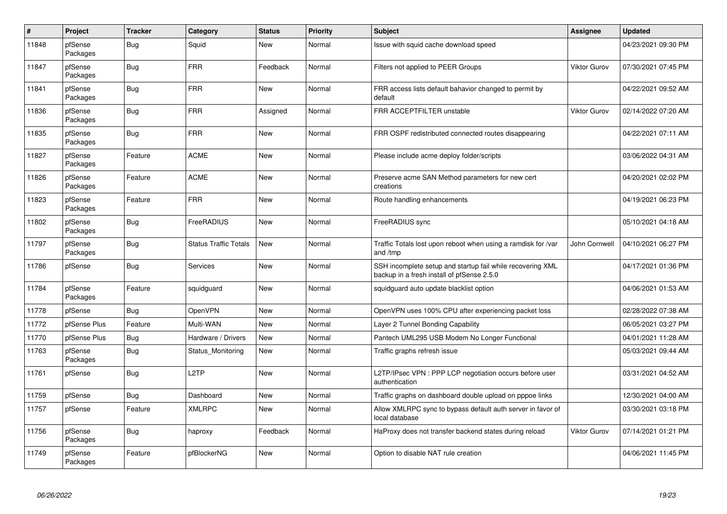| #     | Project             | <b>Tracker</b> | Category                     | <b>Status</b> | <b>Priority</b> | <b>Subject</b>                                                                                           | Assignee      | <b>Updated</b>      |
|-------|---------------------|----------------|------------------------------|---------------|-----------------|----------------------------------------------------------------------------------------------------------|---------------|---------------------|
| 11848 | pfSense<br>Packages | <b>Bug</b>     | Squid                        | <b>New</b>    | Normal          | Issue with squid cache download speed                                                                    |               | 04/23/2021 09:30 PM |
| 11847 | pfSense<br>Packages | <b>Bug</b>     | <b>FRR</b>                   | Feedback      | Normal          | Filters not applied to PEER Groups                                                                       | Viktor Gurov  | 07/30/2021 07:45 PM |
| 11841 | pfSense<br>Packages | <b>Bug</b>     | <b>FRR</b>                   | <b>New</b>    | Normal          | FRR access lists default bahavior changed to permit by<br>default                                        |               | 04/22/2021 09:52 AM |
| 11836 | pfSense<br>Packages | <b>Bug</b>     | <b>FRR</b>                   | Assigned      | Normal          | FRR ACCEPTFILTER unstable                                                                                | Viktor Gurov  | 02/14/2022 07:20 AM |
| 11835 | pfSense<br>Packages | <b>Bug</b>     | <b>FRR</b>                   | New           | Normal          | FRR OSPF redistributed connected routes disappearing                                                     |               | 04/22/2021 07:11 AM |
| 11827 | pfSense<br>Packages | Feature        | <b>ACME</b>                  | <b>New</b>    | Normal          | Please include acme deploy folder/scripts                                                                |               | 03/06/2022 04:31 AM |
| 11826 | pfSense<br>Packages | Feature        | <b>ACME</b>                  | <b>New</b>    | Normal          | Preserve acme SAN Method parameters for new cert<br>creations                                            |               | 04/20/2021 02:02 PM |
| 11823 | pfSense<br>Packages | Feature        | <b>FRR</b>                   | <b>New</b>    | Normal          | Route handling enhancements                                                                              |               | 04/19/2021 06:23 PM |
| 11802 | pfSense<br>Packages | <b>Bug</b>     | FreeRADIUS                   | New           | Normal          | FreeRADIUS sync                                                                                          |               | 05/10/2021 04:18 AM |
| 11797 | pfSense<br>Packages | <b>Bug</b>     | <b>Status Traffic Totals</b> | New           | Normal          | Traffic Totals lost upon reboot when using a ramdisk for /var<br>and /tmp                                | John Cornwell | 04/10/2021 06:27 PM |
| 11786 | pfSense             | <b>Bug</b>     | Services                     | New           | Normal          | SSH incomplete setup and startup fail while recovering XML<br>backup in a fresh install of pfSense 2.5.0 |               | 04/17/2021 01:36 PM |
| 11784 | pfSense<br>Packages | Feature        | squidguard                   | New           | Normal          | squidguard auto update blacklist option                                                                  |               | 04/06/2021 01:53 AM |
| 11778 | pfSense             | <b>Bug</b>     | OpenVPN                      | New           | Normal          | OpenVPN uses 100% CPU after experiencing packet loss                                                     |               | 02/28/2022 07:38 AM |
| 11772 | pfSense Plus        | Feature        | Multi-WAN                    | New           | Normal          | Layer 2 Tunnel Bonding Capability                                                                        |               | 06/05/2021 03:27 PM |
| 11770 | pfSense Plus        | Bug            | Hardware / Drivers           | New           | Normal          | Pantech UML295 USB Modem No Longer Functional                                                            |               | 04/01/2021 11:28 AM |
| 11763 | pfSense<br>Packages | <b>Bug</b>     | Status Monitoring            | <b>New</b>    | Normal          | Traffic graphs refresh issue                                                                             |               | 05/03/2021 09:44 AM |
| 11761 | pfSense             | <b>Bug</b>     | L <sub>2</sub> TP            | New           | Normal          | L2TP/IPsec VPN : PPP LCP negotiation occurs before user<br>authentication                                |               | 03/31/2021 04:52 AM |
| 11759 | pfSense             | Bug            | Dashboard                    | New           | Normal          | Traffic graphs on dashboard double upload on pppoe links                                                 |               | 12/30/2021 04:00 AM |
| 11757 | pfSense             | Feature        | <b>XMLRPC</b>                | New           | Normal          | Allow XMLRPC sync to bypass default auth server in favor of<br>local database                            |               | 03/30/2021 03:18 PM |
| 11756 | pfSense<br>Packages | <b>Bug</b>     | haproxy                      | Feedback      | Normal          | HaProxy does not transfer backend states during reload                                                   | Viktor Gurov  | 07/14/2021 01:21 PM |
| 11749 | pfSense<br>Packages | Feature        | pfBlockerNG                  | New           | Normal          | Option to disable NAT rule creation                                                                      |               | 04/06/2021 11:45 PM |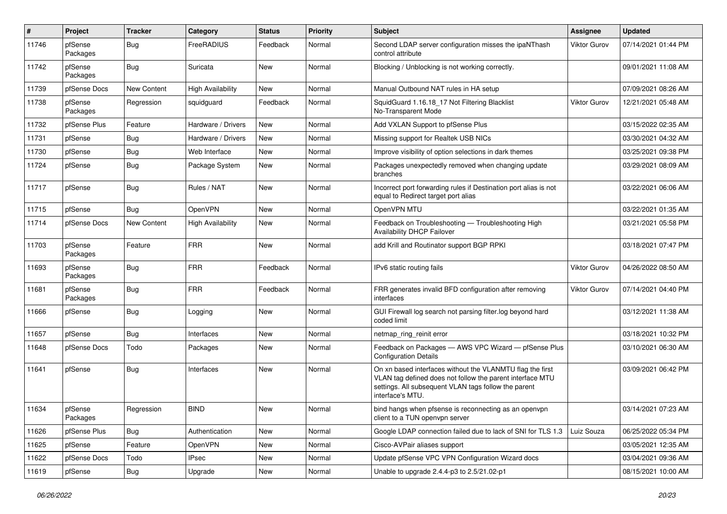| $\pmb{\#}$ | Project             | <b>Tracker</b>     | Category                 | <b>Status</b> | <b>Priority</b> | <b>Subject</b>                                                                                                                                                                                     | <b>Assignee</b> | <b>Updated</b>      |
|------------|---------------------|--------------------|--------------------------|---------------|-----------------|----------------------------------------------------------------------------------------------------------------------------------------------------------------------------------------------------|-----------------|---------------------|
| 11746      | pfSense<br>Packages | <b>Bug</b>         | FreeRADIUS               | Feedback      | Normal          | Second LDAP server configuration misses the ipaNThash<br>control attribute                                                                                                                         | Viktor Gurov    | 07/14/2021 01:44 PM |
| 11742      | pfSense<br>Packages | <b>Bug</b>         | Suricata                 | New           | Normal          | Blocking / Unblocking is not working correctly.                                                                                                                                                    |                 | 09/01/2021 11:08 AM |
| 11739      | pfSense Docs        | <b>New Content</b> | <b>High Availability</b> | <b>New</b>    | Normal          | Manual Outbound NAT rules in HA setup                                                                                                                                                              |                 | 07/09/2021 08:26 AM |
| 11738      | pfSense<br>Packages | Regression         | squidguard               | Feedback      | Normal          | SquidGuard 1.16.18 17 Not Filtering Blacklist<br>No-Transparent Mode                                                                                                                               | Viktor Gurov    | 12/21/2021 05:48 AM |
| 11732      | pfSense Plus        | Feature            | Hardware / Drivers       | <b>New</b>    | Normal          | Add VXLAN Support to pfSense Plus                                                                                                                                                                  |                 | 03/15/2022 02:35 AM |
| 11731      | pfSense             | <b>Bug</b>         | Hardware / Drivers       | New           | Normal          | Missing support for Realtek USB NICs                                                                                                                                                               |                 | 03/30/2021 04:32 AM |
| 11730      | pfSense             | <b>Bug</b>         | Web Interface            | <b>New</b>    | Normal          | Improve visibility of option selections in dark themes                                                                                                                                             |                 | 03/25/2021 09:38 PM |
| 11724      | pfSense             | <b>Bug</b>         | Package System           | New           | Normal          | Packages unexpectedly removed when changing update<br>branches                                                                                                                                     |                 | 03/29/2021 08:09 AM |
| 11717      | pfSense             | <b>Bug</b>         | Rules / NAT              | <b>New</b>    | Normal          | Incorrect port forwarding rules if Destination port alias is not<br>equal to Redirect target port alias                                                                                            |                 | 03/22/2021 06:06 AM |
| 11715      | pfSense             | <b>Bug</b>         | OpenVPN                  | New           | Normal          | OpenVPN MTU                                                                                                                                                                                        |                 | 03/22/2021 01:35 AM |
| 11714      | pfSense Docs        | New Content        | <b>High Availability</b> | New           | Normal          | Feedback on Troubleshooting - Troubleshooting High<br><b>Availability DHCP Failover</b>                                                                                                            |                 | 03/21/2021 05:58 PM |
| 11703      | pfSense<br>Packages | Feature            | <b>FRR</b>               | <b>New</b>    | Normal          | add Krill and Routinator support BGP RPKI                                                                                                                                                          |                 | 03/18/2021 07:47 PM |
| 11693      | pfSense<br>Packages | <b>Bug</b>         | <b>FRR</b>               | Feedback      | Normal          | IPv6 static routing fails                                                                                                                                                                          | Viktor Gurov    | 04/26/2022 08:50 AM |
| 11681      | pfSense<br>Packages | <b>Bug</b>         | <b>FRR</b>               | Feedback      | Normal          | FRR generates invalid BFD configuration after removing<br>interfaces                                                                                                                               | Viktor Gurov    | 07/14/2021 04:40 PM |
| 11666      | pfSense             | <b>Bug</b>         | Logging                  | New           | Normal          | GUI Firewall log search not parsing filter.log beyond hard<br>coded limit                                                                                                                          |                 | 03/12/2021 11:38 AM |
| 11657      | pfSense             | <b>Bug</b>         | Interfaces               | New           | Normal          | netmap ring reinit error                                                                                                                                                                           |                 | 03/18/2021 10:32 PM |
| 11648      | pfSense Docs        | Todo               | Packages                 | New           | Normal          | Feedback on Packages - AWS VPC Wizard - pfSense Plus<br><b>Configuration Details</b>                                                                                                               |                 | 03/10/2021 06:30 AM |
| 11641      | pfSense             | <b>Bug</b>         | Interfaces               | New           | Normal          | On xn based interfaces without the VLANMTU flag the first<br>VLAN tag defined does not follow the parent interface MTU<br>settings. All subsequent VLAN tags follow the parent<br>interface's MTU. |                 | 03/09/2021 06:42 PM |
| 11634      | pfSense<br>Packages | Regression         | <b>BIND</b>              | New           | Normal          | bind hangs when pfsense is reconnecting as an openvpn<br>client to a TUN openvpn server                                                                                                            |                 | 03/14/2021 07:23 AM |
| 11626      | pfSense Plus        | <b>Bug</b>         | Authentication           | New           | Normal          | Google LDAP connection failed due to lack of SNI for TLS 1.3                                                                                                                                       | Luiz Souza      | 06/25/2022 05:34 PM |
| 11625      | pfSense             | Feature            | OpenVPN                  | New           | Normal          | Cisco-AVPair aliases support                                                                                                                                                                       |                 | 03/05/2021 12:35 AM |
| 11622      | pfSense Docs        | Todo               | <b>IPsec</b>             | New           | Normal          | Update pfSense VPC VPN Configuration Wizard docs                                                                                                                                                   |                 | 03/04/2021 09:36 AM |
| 11619      | pfSense             | <b>Bug</b>         | Upgrade                  | New           | Normal          | Unable to upgrade 2.4.4-p3 to 2.5/21.02-p1                                                                                                                                                         |                 | 08/15/2021 10:00 AM |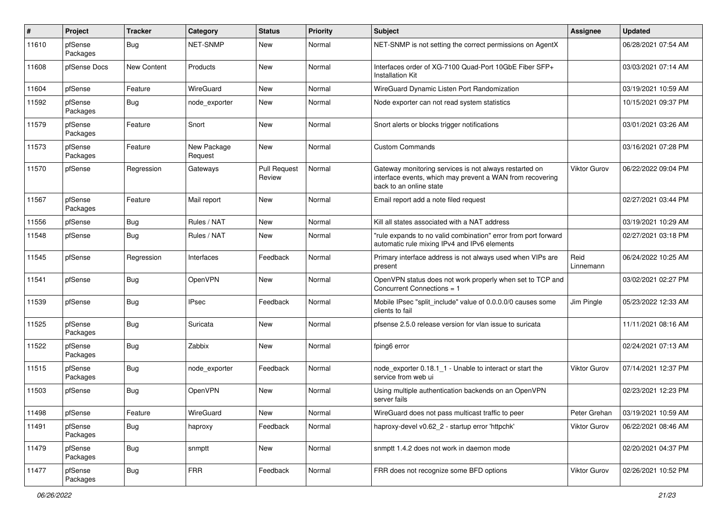| #     | Project             | <b>Tracker</b>     | Category               | <b>Status</b>                 | <b>Priority</b> | <b>Subject</b>                                                                                                                                 | <b>Assignee</b>     | <b>Updated</b>      |
|-------|---------------------|--------------------|------------------------|-------------------------------|-----------------|------------------------------------------------------------------------------------------------------------------------------------------------|---------------------|---------------------|
| 11610 | pfSense<br>Packages | <b>Bug</b>         | <b>NET-SNMP</b>        | New                           | Normal          | NET-SNMP is not setting the correct permissions on AgentX                                                                                      |                     | 06/28/2021 07:54 AM |
| 11608 | pfSense Docs        | <b>New Content</b> | Products               | <b>New</b>                    | Normal          | Interfaces order of XG-7100 Quad-Port 10GbE Fiber SFP+<br>Installation Kit                                                                     |                     | 03/03/2021 07:14 AM |
| 11604 | pfSense             | Feature            | <b>WireGuard</b>       | <b>New</b>                    | Normal          | WireGuard Dynamic Listen Port Randomization                                                                                                    |                     | 03/19/2021 10:59 AM |
| 11592 | pfSense<br>Packages | <b>Bug</b>         | node exporter          | New                           | Normal          | Node exporter can not read system statistics                                                                                                   |                     | 10/15/2021 09:37 PM |
| 11579 | pfSense<br>Packages | Feature            | Snort                  | <b>New</b>                    | Normal          | Snort alerts or blocks trigger notifications                                                                                                   |                     | 03/01/2021 03:26 AM |
| 11573 | pfSense<br>Packages | Feature            | New Package<br>Request | <b>New</b>                    | Normal          | <b>Custom Commands</b>                                                                                                                         |                     | 03/16/2021 07:28 PM |
| 11570 | pfSense             | Regression         | Gateways               | <b>Pull Request</b><br>Review | Normal          | Gateway monitoring services is not always restarted on<br>interface events, which may prevent a WAN from recovering<br>back to an online state | <b>Viktor Gurov</b> | 06/22/2022 09:04 PM |
| 11567 | pfSense<br>Packages | Feature            | Mail report            | New                           | Normal          | Email report add a note filed request                                                                                                          |                     | 02/27/2021 03:44 PM |
| 11556 | pfSense             | <b>Bug</b>         | Rules / NAT            | <b>New</b>                    | Normal          | Kill all states associated with a NAT address                                                                                                  |                     | 03/19/2021 10:29 AM |
| 11548 | pfSense             | <b>Bug</b>         | Rules / NAT            | New                           | Normal          | "rule expands to no valid combination" error from port forward<br>automatic rule mixing IPv4 and IPv6 elements                                 |                     | 02/27/2021 03:18 PM |
| 11545 | pfSense             | Regression         | Interfaces             | Feedback                      | Normal          | Primary interface address is not always used when VIPs are<br>present                                                                          | Reid<br>Linnemann   | 06/24/2022 10:25 AM |
| 11541 | pfSense             | Bug                | OpenVPN                | New                           | Normal          | OpenVPN status does not work properly when set to TCP and<br>Concurrent Connections = 1                                                        |                     | 03/02/2021 02:27 PM |
| 11539 | pfSense             | <b>Bug</b>         | <b>IPsec</b>           | Feedback                      | Normal          | Mobile IPsec "split_include" value of 0.0.0.0/0 causes some<br>clients to fail                                                                 | Jim Pingle          | 05/23/2022 12:33 AM |
| 11525 | pfSense<br>Packages | Bug                | Suricata               | New                           | Normal          | pfsense 2.5.0 release version for vlan issue to suricata                                                                                       |                     | 11/11/2021 08:16 AM |
| 11522 | pfSense<br>Packages | <b>Bug</b>         | Zabbix                 | <b>New</b>                    | Normal          | fping6 error                                                                                                                                   |                     | 02/24/2021 07:13 AM |
| 11515 | pfSense<br>Packages | Bug                | node exporter          | Feedback                      | Normal          | node_exporter 0.18.1_1 - Unable to interact or start the<br>service from web ui                                                                | Viktor Gurov        | 07/14/2021 12:37 PM |
| 11503 | pfSense             | <b>Bug</b>         | OpenVPN                | <b>New</b>                    | Normal          | Using multiple authentication backends on an OpenVPN<br>server fails                                                                           |                     | 02/23/2021 12:23 PM |
| 11498 | pfSense             | Feature            | WireGuard              | New                           | Normal          | WireGuard does not pass multicast traffic to peer                                                                                              | Peter Grehan        | 03/19/2021 10:59 AM |
| 11491 | pfSense<br>Packages | Bug                | haproxy                | Feedback                      | Normal          | haproxy-devel v0.62 2 - startup error 'httpchk'                                                                                                | <b>Viktor Gurov</b> | 06/22/2021 08:46 AM |
| 11479 | pfSense<br>Packages | <b>Bug</b>         | snmptt                 | New                           | Normal          | snmptt 1.4.2 does not work in daemon mode                                                                                                      |                     | 02/20/2021 04:37 PM |
| 11477 | pfSense<br>Packages | Bug                | <b>FRR</b>             | Feedback                      | Normal          | FRR does not recognize some BFD options                                                                                                        | <b>Viktor Gurov</b> | 02/26/2021 10:52 PM |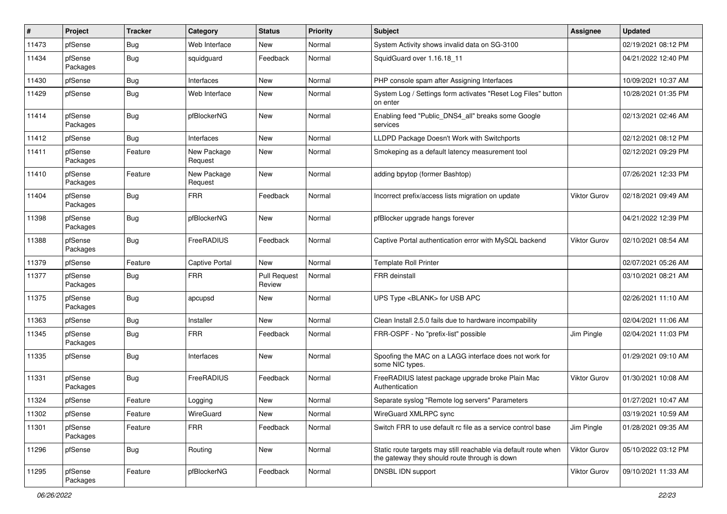| $\#$  | Project             | <b>Tracker</b> | Category               | <b>Status</b>                 | Priority | <b>Subject</b>                                                                                                   | <b>Assignee</b>     | <b>Updated</b>      |
|-------|---------------------|----------------|------------------------|-------------------------------|----------|------------------------------------------------------------------------------------------------------------------|---------------------|---------------------|
| 11473 | pfSense             | <b>Bug</b>     | Web Interface          | New                           | Normal   | System Activity shows invalid data on SG-3100                                                                    |                     | 02/19/2021 08:12 PM |
| 11434 | pfSense<br>Packages | <b>Bug</b>     | squidguard             | Feedback                      | Normal   | SquidGuard over 1.16.18_11                                                                                       |                     | 04/21/2022 12:40 PM |
| 11430 | pfSense             | Bug            | Interfaces             | New                           | Normal   | PHP console spam after Assigning Interfaces                                                                      |                     | 10/09/2021 10:37 AM |
| 11429 | pfSense             | <b>Bug</b>     | Web Interface          | <b>New</b>                    | Normal   | System Log / Settings form activates "Reset Log Files" button<br>on enter                                        |                     | 10/28/2021 01:35 PM |
| 11414 | pfSense<br>Packages | Bug            | pfBlockerNG            | New                           | Normal   | Enabling feed "Public_DNS4_all" breaks some Google<br>services                                                   |                     | 02/13/2021 02:46 AM |
| 11412 | pfSense             | Bug            | Interfaces             | New                           | Normal   | LLDPD Package Doesn't Work with Switchports                                                                      |                     | 02/12/2021 08:12 PM |
| 11411 | pfSense<br>Packages | Feature        | New Package<br>Request | <b>New</b>                    | Normal   | Smokeping as a default latency measurement tool                                                                  |                     | 02/12/2021 09:29 PM |
| 11410 | pfSense<br>Packages | Feature        | New Package<br>Request | <b>New</b>                    | Normal   | adding bpytop (former Bashtop)                                                                                   |                     | 07/26/2021 12:33 PM |
| 11404 | pfSense<br>Packages | Bug            | <b>FRR</b>             | Feedback                      | Normal   | Incorrect prefix/access lists migration on update                                                                | <b>Viktor Gurov</b> | 02/18/2021 09:49 AM |
| 11398 | pfSense<br>Packages | <b>Bug</b>     | pfBlockerNG            | <b>New</b>                    | Normal   | pfBlocker upgrade hangs forever                                                                                  |                     | 04/21/2022 12:39 PM |
| 11388 | pfSense<br>Packages | Bug            | FreeRADIUS             | Feedback                      | Normal   | Captive Portal authentication error with MySQL backend                                                           | <b>Viktor Gurov</b> | 02/10/2021 08:54 AM |
| 11379 | pfSense             | Feature        | <b>Captive Portal</b>  | New                           | Normal   | <b>Template Roll Printer</b>                                                                                     |                     | 02/07/2021 05:26 AM |
| 11377 | pfSense<br>Packages | Bug            | <b>FRR</b>             | <b>Pull Request</b><br>Review | Normal   | <b>FRR</b> deinstall                                                                                             |                     | 03/10/2021 08:21 AM |
| 11375 | pfSense<br>Packages | Bug            | apcupsd                | New                           | Normal   | UPS Type <blank> for USB APC</blank>                                                                             |                     | 02/26/2021 11:10 AM |
| 11363 | pfSense             | Bug            | Installer              | New                           | Normal   | Clean Install 2.5.0 fails due to hardware incompability                                                          |                     | 02/04/2021 11:06 AM |
| 11345 | pfSense<br>Packages | Bug            | <b>FRR</b>             | Feedback                      | Normal   | FRR-OSPF - No "prefix-list" possible                                                                             | Jim Pingle          | 02/04/2021 11:03 PM |
| 11335 | pfSense             | Bug            | Interfaces             | New                           | Normal   | Spoofing the MAC on a LAGG interface does not work for<br>some NIC types.                                        |                     | 01/29/2021 09:10 AM |
| 11331 | pfSense<br>Packages | <b>Bug</b>     | FreeRADIUS             | Feedback                      | Normal   | FreeRADIUS latest package upgrade broke Plain Mac<br>Authentication                                              | <b>Viktor Gurov</b> | 01/30/2021 10:08 AM |
| 11324 | pfSense             | Feature        | Logging                | <b>New</b>                    | Normal   | Separate syslog "Remote log servers" Parameters                                                                  |                     | 01/27/2021 10:47 AM |
| 11302 | pfSense             | Feature        | WireGuard              | New                           | Normal   | WireGuard XMLRPC sync                                                                                            |                     | 03/19/2021 10:59 AM |
| 11301 | pfSense<br>Packages | Feature        | <b>FRR</b>             | Feedback                      | Normal   | Switch FRR to use default rc file as a service control base                                                      | Jim Pingle          | 01/28/2021 09:35 AM |
| 11296 | pfSense             | <b>Bug</b>     | Routing                | New                           | Normal   | Static route targets may still reachable via default route when<br>the gateway they should route through is down | Viktor Gurov        | 05/10/2022 03:12 PM |
| 11295 | pfSense<br>Packages | Feature        | pfBlockerNG            | Feedback                      | Normal   | DNSBL IDN support                                                                                                | <b>Viktor Gurov</b> | 09/10/2021 11:33 AM |